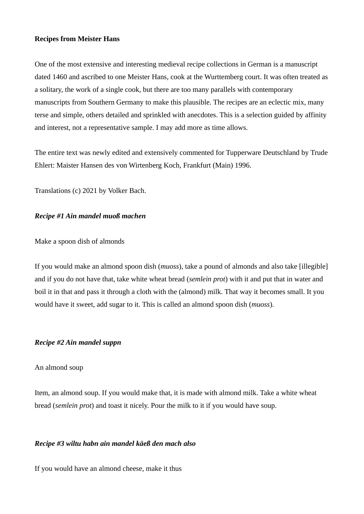## **Recipes from Meister Hans**

One of the most extensive and interesting medieval recipe collections in German is a manuscript dated 1460 and ascribed to one Meister Hans, cook at the Wurttemberg court. It was often treated as a solitary, the work of a single cook, but there are too many parallels with contemporary manuscripts from Southern Germany to make this plausible. The recipes are an eclectic mix, many terse and simple, others detailed and sprinkled with anecdotes. This is a selection guided by affinity and interest, not a representative sample. I may add more as time allows.

The entire text was newly edited and extensively commented for Tupperware Deutschland by Trude Ehlert: Maister Hansen des von Wirtenberg Koch, Frankfurt (Main) 1996.

Translations (c) 2021 by Volker Bach.

# *Recipe #1 Ain mandel muoß machen*

Make a spoon dish of almonds

If you would make an almond spoon dish (*muoss*), take a pound of almonds and also take [illegible] and if you do not have that, take white wheat bread (*semlein prot*) with it and put that in water and boil it in that and pass it through a cloth with the (almond) milk. That way it becomes small. It you would have it sweet, add sugar to it. This is called an almond spoon dish (*muoss*).

# *Recipe #2 Ain mandel suppn*

# An almond soup

Item, an almond soup. If you would make that, it is made with almond milk. Take a white wheat bread (*semlein prot*) and toast it nicely. Pour the milk to it if you would have soup.

# *Recipe #3 wiltu habn ain mandel käeß den mach also*

If you would have an almond cheese, make it thus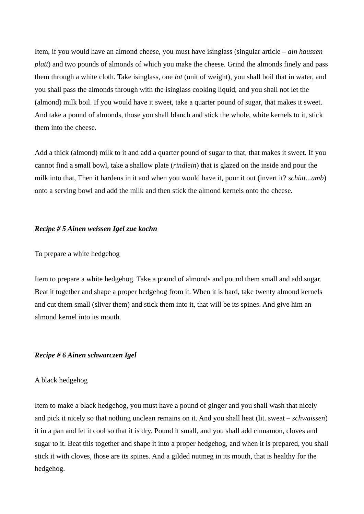Item, if you would have an almond cheese, you must have isinglass (singular article – *ain haussen platt*) and two pounds of almonds of which you make the cheese. Grind the almonds finely and pass them through a white cloth. Take isinglass, one *lot* (unit of weight), you shall boil that in water, and you shall pass the almonds through with the isinglass cooking liquid, and you shall not let the (almond) milk boil. If you would have it sweet, take a quarter pound of sugar, that makes it sweet. And take a pound of almonds, those you shall blanch and stick the whole, white kernels to it, stick them into the cheese.

Add a thick (almond) milk to it and add a quarter pound of sugar to that, that makes it sweet. If you cannot find a small bowl, take a shallow plate (*rindlein*) that is glazed on the inside and pour the milk into that, Then it hardens in it and when you would have it, pour it out (invert it? *schütt...umb*) onto a serving bowl and add the milk and then stick the almond kernels onto the cheese.

## *Recipe # 5 Ainen weissen Igel zue kochn*

### To prepare a white hedgehog

Item to prepare a white hedgehog. Take a pound of almonds and pound them small and add sugar. Beat it together and shape a proper hedgehog from it. When it is hard, take twenty almond kernels and cut them small (sliver them) and stick them into it, that will be its spines. And give him an almond kernel into its mouth.

### *Recipe # 6 Ainen schwarczen Igel*

#### A black hedgehog

Item to make a black hedgehog, you must have a pound of ginger and you shall wash that nicely and pick it nicely so that nothing unclean remains on it. And you shall heat (lit. sweat – *schwaissen*) it in a pan and let it cool so that it is dry. Pound it small, and you shall add cinnamon, cloves and sugar to it. Beat this together and shape it into a proper hedgehog, and when it is prepared, you shall stick it with cloves, those are its spines. And a gilded nutmeg in its mouth, that is healthy for the hedgehog.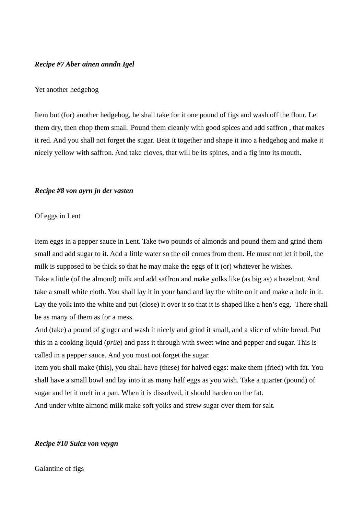### *Recipe #7 Aber ainen anndn Igel*

### Yet another hedgehog

Item but (for) another hedgehog, he shall take for it one pound of figs and wash off the flour. Let them dry, then chop them small. Pound them cleanly with good spices and add saffron , that makes it red. And you shall not forget the sugar. Beat it together and shape it into a hedgehog and make it nicely yellow with saffron. And take cloves, that will be its spines, and a fig into its mouth.

#### *Recipe #8 von ayrn jn der vasten*

### Of eggs in Lent

Item eggs in a pepper sauce in Lent. Take two pounds of almonds and pound them and grind them small and add sugar to it. Add a little water so the oil comes from them. He must not let it boil, the milk is supposed to be thick so that he may make the eggs of it (or) whatever he wishes. Take a little (of the almond) milk and add saffron and make yolks like (as big as) a hazelnut. And take a small white cloth. You shall lay it in your hand and lay the white on it and make a hole in it. Lay the yolk into the white and put (close) it over it so that it is shaped like a hen's egg. There shall be as many of them as for a mess.

And (take) a pound of ginger and wash it nicely and grind it small, and a slice of white bread. Put this in a cooking liquid (*prüe*) and pass it through with sweet wine and pepper and sugar. This is called in a pepper sauce. And you must not forget the sugar.

Item you shall make (this), you shall have (these) for halved eggs: make them (fried) with fat. You shall have a small bowl and lay into it as many half eggs as you wish. Take a quarter (pound) of sugar and let it melt in a pan. When it is dissolved, it should harden on the fat.

And under white almond milk make soft yolks and strew sugar over them for salt.

## *Recipe #10 Sulcz von veygn*

Galantine of figs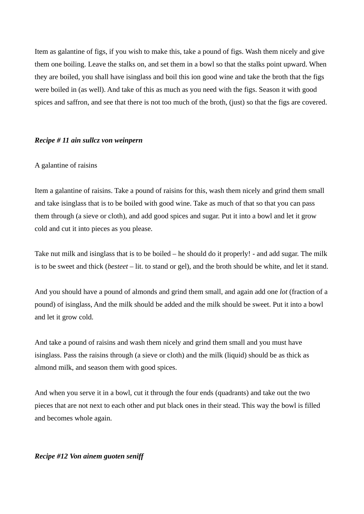Item as galantine of figs, if you wish to make this, take a pound of figs. Wash them nicely and give them one boiling. Leave the stalks on, and set them in a bowl so that the stalks point upward. When they are boiled, you shall have isinglass and boil this ion good wine and take the broth that the figs were boiled in (as well). And take of this as much as you need with the figs. Season it with good spices and saffron, and see that there is not too much of the broth, (just) so that the figs are covered.

#### *Recipe # 11 ain sullcz von weinpern*

## A galantine of raisins

Item a galantine of raisins. Take a pound of raisins for this, wash them nicely and grind them small and take isinglass that is to be boiled with good wine. Take as much of that so that you can pass them through (a sieve or cloth), and add good spices and sugar. Put it into a bowl and let it grow cold and cut it into pieces as you please.

Take nut milk and isinglass that is to be boiled – he should do it properly! - and add sugar. The milk is to be sweet and thick (*besteet* – lit. to stand or gel), and the broth should be white, and let it stand.

And you should have a pound of almonds and grind them small, and again add one *lot* (fraction of a pound) of isinglass, And the milk should be added and the milk should be sweet. Put it into a bowl and let it grow cold.

And take a pound of raisins and wash them nicely and grind them small and you must have isinglass. Pass the raisins through (a sieve or cloth) and the milk (liquid) should be as thick as almond milk, and season them with good spices.

And when you serve it in a bowl, cut it through the four ends (quadrants) and take out the two pieces that are not next to each other and put black ones in their stead. This way the bowl is filled and becomes whole again.

### *Recipe #12 Von ainem guoten seniff*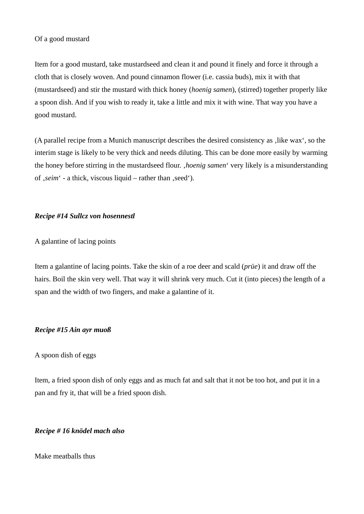Item for a good mustard, take mustardseed and clean it and pound it finely and force it through a cloth that is closely woven. And pound cinnamon flower (i.e. cassia buds), mix it with that (mustardseed) and stir the mustard with thick honey (*hoenig samen*), (stirred) together properly like a spoon dish. And if you wish to ready it, take a little and mix it with wine. That way you have a good mustard.

(A parallel recipe from a Munich manuscript describes the desired consistency as , like wax', so the interim stage is likely to be very thick and needs diluting. This can be done more easily by warming the honey before stirring in the mustardseed flour. '*hoenig samen*' very likely is a misunderstanding of ,*seim* ' - a thick, viscous liquid – rather than , seed').

# *Recipe #14 Sullcz von hosennestl*

A galantine of lacing points

Item a galantine of lacing points. Take the skin of a roe deer and scald (*prüe*) it and draw off the hairs. Boil the skin very well. That way it will shrink very much. Cut it (into pieces) the length of a span and the width of two fingers, and make a galantine of it.

# *Recipe #15 Ain ayr muoß*

# A spoon dish of eggs

Item, a fried spoon dish of only eggs and as much fat and salt that it not be too hot, and put it in a pan and fry it, that will be a fried spoon dish.

# *Recipe # 16 knödel mach also*

Make meatballs thus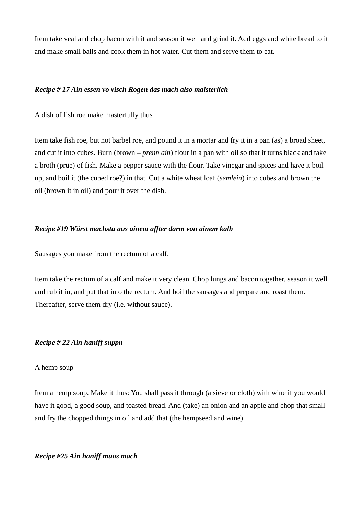Item take veal and chop bacon with it and season it well and grind it. Add eggs and white bread to it and make small balls and cook them in hot water. Cut them and serve them to eat.

### *Recipe # 17 Ain essen vo visch Rogen das mach also maisterlich*

A dish of fish roe make masterfully thus

Item take fish roe, but not barbel roe, and pound it in a mortar and fry it in a pan (as) a broad sheet, and cut it into cubes. Burn (brown – *prenn ain*) flour in a pan with oil so that it turns black and take a broth (prüe) of fish. Make a pepper sauce with the flour. Take vinegar and spices and have it boil up, and boil it (the cubed roe?) in that. Cut a white wheat loaf (*semlein*) into cubes and brown the oil (brown it in oil) and pour it over the dish.

## *Recipe #19 Würst machstu aus ainem affter darm von ainem kalb*

Sausages you make from the rectum of a calf.

Item take the rectum of a calf and make it very clean. Chop lungs and bacon together, season it well and rub it in, and put that into the rectum. And boil the sausages and prepare and roast them. Thereafter, serve them dry (i.e. without sauce).

# *Recipe # 22 Ain haniff suppn*

## A hemp soup

Item a hemp soup. Make it thus: You shall pass it through (a sieve or cloth) with wine if you would have it good, a good soup, and toasted bread. And (take) an onion and an apple and chop that small and fry the chopped things in oil and add that (the hempseed and wine).

*Recipe #25 Ain haniff muos mach*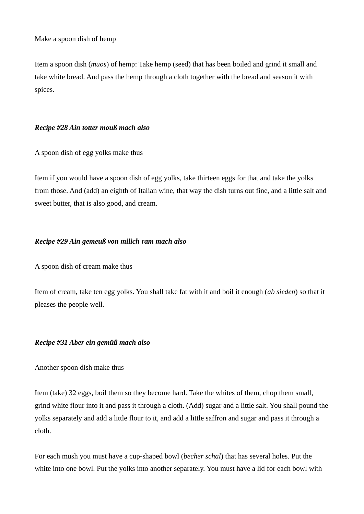Make a spoon dish of hemp

Item a spoon dish (*muos*) of hemp: Take hemp (seed) that has been boiled and grind it small and take white bread. And pass the hemp through a cloth together with the bread and season it with spices.

# *Recipe #28 Ain totter mouß mach also*

A spoon dish of egg yolks make thus

Item if you would have a spoon dish of egg yolks, take thirteen eggs for that and take the yolks from those. And (add) an eighth of Italian wine, that way the dish turns out fine, and a little salt and sweet butter, that is also good, and cream.

# *Recipe #29 Ain gemeuß von milich ram mach also*

A spoon dish of cream make thus

Item of cream, take ten egg yolks. You shall take fat with it and boil it enough (*ab sieden*) so that it pleases the people well.

# *Recipe #31 Aber ein gemüß mach also*

Another spoon dish make thus

Item (take) 32 eggs, boil them so they become hard. Take the whites of them, chop them small, grind white flour into it and pass it through a cloth. (Add) sugar and a little salt. You shall pound the yolks separately and add a little flour to it, and add a little saffron and sugar and pass it through a cloth.

For each mush you must have a cup-shaped bowl (*becher schal*) that has several holes. Put the white into one bowl. Put the yolks into another separately. You must have a lid for each bowl with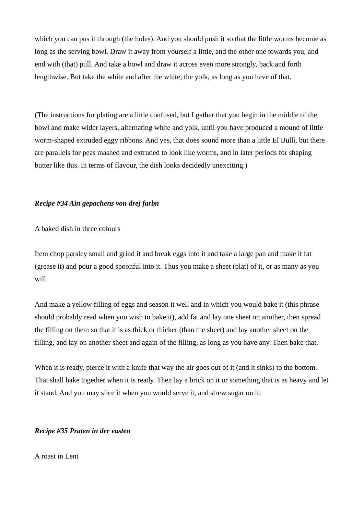which you can pus it through (the holes). And you should push it so that the little worms become as long as the serving bowl. Draw it away from yourself a little, and the other one towards you, and end with (that) pull. And take a bowl and draw it across even more strongly, back and forth lengthwise. But take the white and after the white, the yolk, as long as you have of that.

(The instructions for plating are a little confused, but I gather that you begin in the middle of the bowl and make wider layers, alternating white and yolk, until you have produced a mound of little worm-shaped extruded eggy ribbons. And yes, that does sound more than a little El Bullí, but there are parallels for peas mashed and extruded to look like worms, and in later periods for shaping butter like this. In terms of flavour, the dish looks decidedly unexciting.)

# *Recipe #34 Ain gepachens von drej farbn*

A baked dish in three colours

Item chop parsley small and grind it and break eggs into it and take a large pan and make it fat (grease it) and pour a good spoonful into it. Thus you make a sheet (plat) of it, or as many as you will.

And make a yellow filling of eggs and season it well and in which you would bake it (this phrase should probably read when you wish to bake it), add fat and lay one sheet on another, then spread the filling on them so that it is as thick or thicker (than the sheet) and lay another sheet on the filling, and lay on another sheet and again of the filling, as long as you have any. Then bake that.

When it is ready, pierce it with a knife that way the air goes out of it (and it sinks) to the bottom. That shall bake together when it is ready. Then lay a brick on it or something that is as heavy and let it stand. And you may slice it when you would serve it, and strew sugar on it.

#### *Recipe #35 Praten in der vasten*

A roast in Lent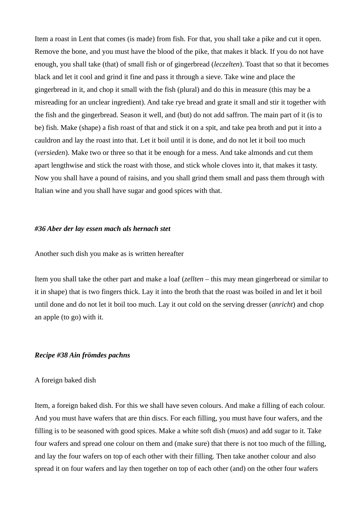Item a roast in Lent that comes (is made) from fish. For that, you shall take a pike and cut it open. Remove the bone, and you must have the blood of the pike, that makes it black. If you do not have enough, you shall take (that) of small fish or of gingerbread (*leczelten*). Toast that so that it becomes black and let it cool and grind it fine and pass it through a sieve. Take wine and place the gingerbread in it, and chop it small with the fish (plural) and do this in measure (this may be a misreading for an unclear ingredient). And take rye bread and grate it small and stir it together with the fish and the gingerbread. Season it well, and (but) do not add saffron. The main part of it (is to be) fish. Make (shape) a fish roast of that and stick it on a spit, and take pea broth and put it into a cauldron and lay the roast into that. Let it boil until it is done, and do not let it boil too much (*versieden*). Make two or three so that it be enough for a mess. And take almonds and cut them apart lengthwise and stick the roast with those, and stick whole cloves into it, that makes it tasty. Now you shall have a pound of raisins, and you shall grind them small and pass them through with Italian wine and you shall have sugar and good spices with that.

### *#36 Aber der lay essen mach als hernach stet*

#### Another such dish you make as is written hereafter

Item you shall take the other part and make a loaf (*zellten* – this may mean gingerbread or similar to it in shape) that is two fingers thick. Lay it into the broth that the roast was boiled in and let it boil until done and do not let it boil too much. Lay it out cold on the serving dresser (*anricht*) and chop an apple (to go) with it.

#### *Recipe #38 Ain frömdes pachns*

#### A foreign baked dish

Item, a foreign baked dish. For this we shall have seven colours. And make a filling of each colour. And you must have wafers that are thin discs. For each filling, you must have four wafers, and the filling is to be seasoned with good spices. Make a white soft dish (*muos*) and add sugar to it. Take four wafers and spread one colour on them and (make sure) that there is not too much of the filling, and lay the four wafers on top of each other with their filling. Then take another colour and also spread it on four wafers and lay then together on top of each other (and) on the other four wafers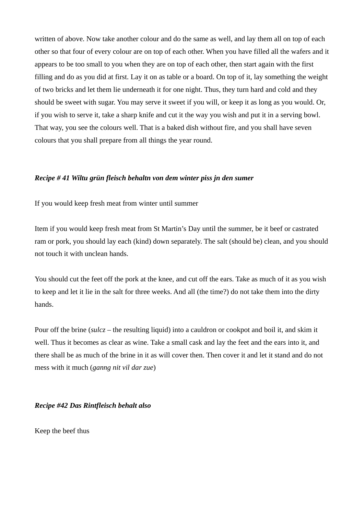written of above. Now take another colour and do the same as well, and lay them all on top of each other so that four of every colour are on top of each other. When you have filled all the wafers and it appears to be too small to you when they are on top of each other, then start again with the first filling and do as you did at first. Lay it on as table or a board. On top of it, lay something the weight of two bricks and let them lie underneath it for one night. Thus, they turn hard and cold and they should be sweet with sugar. You may serve it sweet if you will, or keep it as long as you would. Or, if you wish to serve it, take a sharp knife and cut it the way you wish and put it in a serving bowl. That way, you see the colours well. That is a baked dish without fire, and you shall have seven colours that you shall prepare from all things the year round.

## *Recipe # 41 Wiltu grün fleisch behaltn von dem winter piss jn den sumer*

If you would keep fresh meat from winter until summer

Item if you would keep fresh meat from St Martin's Day until the summer, be it beef or castrated ram or pork, you should lay each (kind) down separately. The salt (should be) clean, and you should not touch it with unclean hands.

You should cut the feet off the pork at the knee, and cut off the ears. Take as much of it as you wish to keep and let it lie in the salt for three weeks. And all (the time?) do not take them into the dirty hands.

Pour off the brine (*sulcz* – the resulting liquid) into a cauldron or cookpot and boil it, and skim it well. Thus it becomes as clear as wine. Take a small cask and lay the feet and the ears into it, and there shall be as much of the brine in it as will cover then. Then cover it and let it stand and do not mess with it much (*ganng nit vil dar zue*)

## *Recipe #42 Das Rintfleisch behalt also*

Keep the beef thus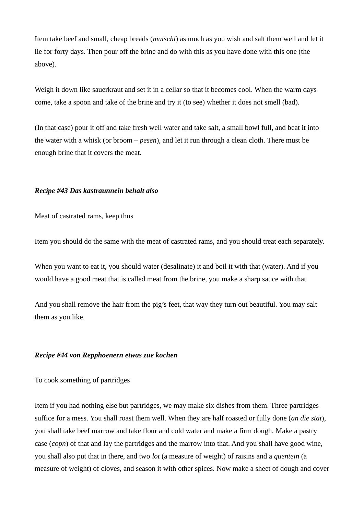Item take beef and small, cheap breads (*mutschl*) as much as you wish and salt them well and let it lie for forty days. Then pour off the brine and do with this as you have done with this one (the above).

Weigh it down like sauerkraut and set it in a cellar so that it becomes cool. When the warm days come, take a spoon and take of the brine and try it (to see) whether it does not smell (bad).

(In that case) pour it off and take fresh well water and take salt, a small bowl full, and beat it into the water with a whisk (or broom – *pesen*), and let it run through a clean cloth. There must be enough brine that it covers the meat.

## *Recipe #43 Das kastraunnein behalt also*

Meat of castrated rams, keep thus

Item you should do the same with the meat of castrated rams, and you should treat each separately.

When you want to eat it, you should water (desalinate) it and boil it with that (water). And if you would have a good meat that is called meat from the brine, you make a sharp sauce with that.

And you shall remove the hair from the pig's feet, that way they turn out beautiful. You may salt them as you like.

### *Recipe #44 von Repphoenern etwas zue kochen*

To cook something of partridges

Item if you had nothing else but partridges, we may make six dishes from them. Three partridges suffice for a mess. You shall roast them well. When they are half roasted or fully done (*an die stat*), you shall take beef marrow and take flour and cold water and make a firm dough. Make a pastry case (*copn*) of that and lay the partridges and the marrow into that. And you shall have good wine, you shall also put that in there, and two *lot* (a measure of weight) of raisins and a *quentein* (a measure of weight) of cloves, and season it with other spices. Now make a sheet of dough and cover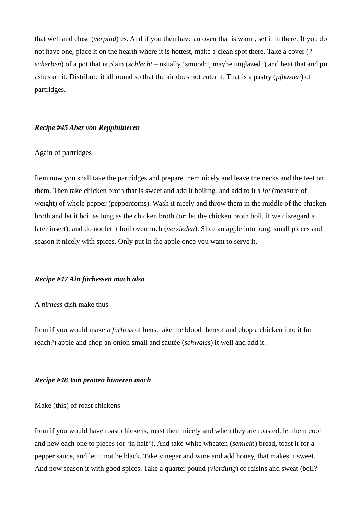that well and close (*verpind*) es. And if you then have an oven that is warm, set it in there. If you do not have one, place it on the hearth where it is hottest, make a clean spot there. Take a cover (? *scherben*) of a pot that is plain (*schlecht* – usually 'smooth', maybe unglazed?) and heat that and put ashes on it. Distribute it all round so that the air does not enter it. That is a pastry (*pfhasten*) of partridges.

#### *Recipe #45 Aber von Repphüneren*

### Again of partridges

Item now you shall take the partridges and prepare them nicely and leave the necks and the feet on them. Then take chicken broth that is sweet and add it boiling, and add to it a *lot* (measure of weight) of whole pepper (peppercorns). Wash it nicely and throw them in the middle of the chicken broth and let it boil as long as the chicken broth (or: let the chicken broth boil, if we disregard a later insert), and do not let it boil overmuch (*versieden*). Slice an apple into long, small pieces and season it nicely with spices. Only put in the apple once you want to serve it.

### *Recipe #47 Ain fürhessen mach also*

## A *fürhess* dish make thus

Item if you would make a *fürhess* of hens, take the blood thereof and chop a chicken into it for (each?) apple and chop an onion small and sautée (*schwaiss*) it well and add it.

#### *Recipe #48 Von pratten hüneren mach*

Make (this) of roast chickens

Item if you would have roast chickens, roast them nicely and when they are roasted, let them cool and hew each one to pieces (or 'in half'). And take white wheaten (*semlein*) bread, toast it for a pepper sauce, and let it not be black. Take vinegar and wine and add honey, that makes it sweet. And now season it with good spices. Take a quarter pound (*vierdung*) of raisins and sweat (boil?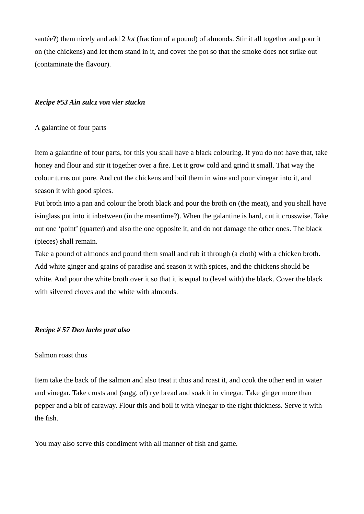sautée?) them nicely and add 2 *lot* (fraction of a pound) of almonds. Stir it all together and pour it on (the chickens) and let them stand in it, and cover the pot so that the smoke does not strike out (contaminate the flavour).

# *Recipe #53 Ain sulcz von vier stuckn*

# A galantine of four parts

Item a galantine of four parts, for this you shall have a black colouring. If you do not have that, take honey and flour and stir it together over a fire. Let it grow cold and grind it small. That way the colour turns out pure. And cut the chickens and boil them in wine and pour vinegar into it, and season it with good spices.

Put broth into a pan and colour the broth black and pour the broth on (the meat), and you shall have isinglass put into it inbetween (in the meantime?). When the galantine is hard, cut it crosswise. Take out one 'point' (quarter) and also the one opposite it, and do not damage the other ones. The black (pieces) shall remain.

Take a pound of almonds and pound them small and rub it through (a cloth) with a chicken broth. Add white ginger and grains of paradise and season it with spices, and the chickens should be white. And pour the white broth over it so that it is equal to (level with) the black. Cover the black with silvered cloves and the white with almonds.

# *Recipe # 57 Den lachs prat also*

# Salmon roast thus

Item take the back of the salmon and also treat it thus and roast it, and cook the other end in water and vinegar. Take crusts and (sugg. of) rye bread and soak it in vinegar. Take ginger more than pepper and a bit of caraway. Flour this and boil it with vinegar to the right thickness. Serve it with the fish.

You may also serve this condiment with all manner of fish and game.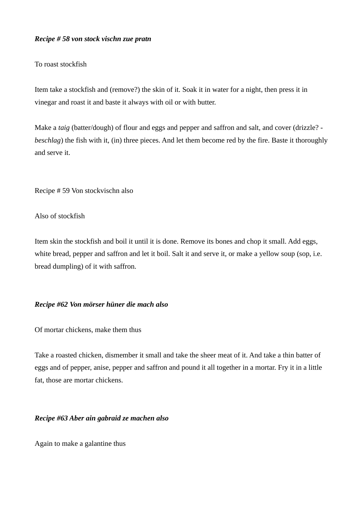## *Recipe # 58 von stock vischn zue pratn*

## To roast stockfish

Item take a stockfish and (remove?) the skin of it. Soak it in water for a night, then press it in vinegar and roast it and baste it always with oil or with butter.

Make a *taig* (batter/dough) of flour and eggs and pepper and saffron and salt, and cover (drizzle? *beschlag*) the fish with it, (in) three pieces. And let them become red by the fire. Baste it thoroughly and serve it.

Recipe # 59 Von stockvischn also

## Also of stockfish

Item skin the stockfish and boil it until it is done. Remove its bones and chop it small. Add eggs, white bread, pepper and saffron and let it boil. Salt it and serve it, or make a yellow soup (sop, i.e. bread dumpling) of it with saffron.

## *Recipe #62 Von mörser hüner die mach also*

Of mortar chickens, make them thus

Take a roasted chicken, dismember it small and take the sheer meat of it. And take a thin batter of eggs and of pepper, anise, pepper and saffron and pound it all together in a mortar. Fry it in a little fat, those are mortar chickens.

# *Recipe #63 Aber ain gabraid ze machen also*

Again to make a galantine thus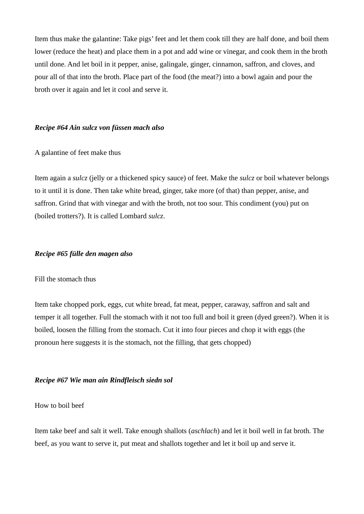Item thus make the galantine: Take pigs' feet and let them cook till they are half done, and boil them lower (reduce the heat) and place them in a pot and add wine or vinegar, and cook them in the broth until done. And let boil in it pepper, anise, galingale, ginger, cinnamon, saffron, and cloves, and pour all of that into the broth. Place part of the food (the meat?) into a bowl again and pour the broth over it again and let it cool and serve it.

## *Recipe #64 Ain sulcz von füssen mach also*

## A galantine of feet make thus

Item again a *sulcz* (jelly or a thickened spicy sauce) of feet. Make the *sulcz* or boil whatever belongs to it until it is done. Then take white bread, ginger, take more (of that) than pepper, anise, and saffron. Grind that with vinegar and with the broth, not too sour. This condiment (you) put on (boiled trotters?). It is called Lombard *sulcz*.

## *Recipe #65 fülle den magen also*

### Fill the stomach thus

Item take chopped pork, eggs, cut white bread, fat meat, pepper, caraway, saffron and salt and temper it all together. Full the stomach with it not too full and boil it green (dyed green?). When it is boiled, loosen the filling from the stomach. Cut it into four pieces and chop it with eggs (the pronoun here suggests it is the stomach, not the filling, that gets chopped)

# *Recipe #67 Wie man ain Rindfleisch siedn sol*

How to boil beef

Item take beef and salt it well. Take enough shallots (*aschlach*) and let it boil well in fat broth. The beef, as you want to serve it, put meat and shallots together and let it boil up and serve it.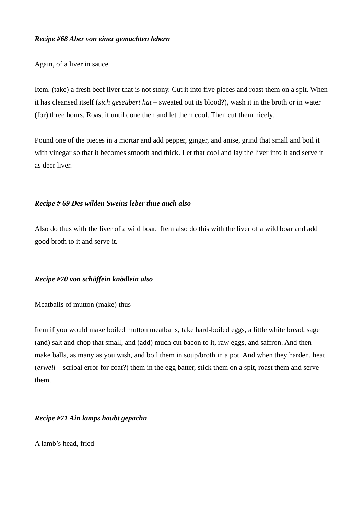## *Recipe #68 Aber von einer gemachten lebern*

Again, of a liver in sauce

Item, (take) a fresh beef liver that is not stony. Cut it into five pieces and roast them on a spit. When it has cleansed itself (*sich geseübert hat* – sweated out its blood?), wash it in the broth or in water (for) three hours. Roast it until done then and let them cool. Then cut them nicely.

Pound one of the pieces in a mortar and add pepper, ginger, and anise, grind that small and boil it with vinegar so that it becomes smooth and thick. Let that cool and lay the liver into it and serve it as deer liver.

# *Recipe # 69 Des wilden Sweins leber thue auch also*

Also do thus with the liver of a wild boar. Item also do this with the liver of a wild boar and add good broth to it and serve it.

# *Recipe #70 von schäffein knödlein also*

Meatballs of mutton (make) thus

Item if you would make boiled mutton meatballs, take hard-boiled eggs, a little white bread, sage (and) salt and chop that small, and (add) much cut bacon to it, raw eggs, and saffron. And then make balls, as many as you wish, and boil them in soup/broth in a pot. And when they harden, heat (*erwell* – scribal error for coat?) them in the egg batter, stick them on a spit, roast them and serve them.

# *Recipe #71 Ain lamps haubt gepachn*

A lamb's head, fried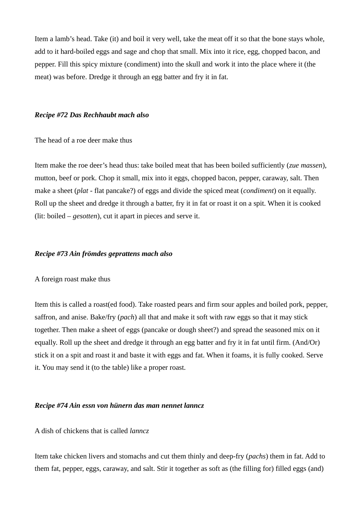Item a lamb's head. Take (it) and boil it very well, take the meat off it so that the bone stays whole, add to it hard-boiled eggs and sage and chop that small. Mix into it rice, egg, chopped bacon, and pepper. Fill this spicy mixture (condiment) into the skull and work it into the place where it (the meat) was before. Dredge it through an egg batter and fry it in fat.

#### *Recipe #72 Das Rechhaubt mach also*

The head of a roe deer make thus

Item make the roe deer's head thus: take boiled meat that has been boiled sufficiently (*zue massen*), mutton, beef or pork. Chop it small, mix into it eggs, chopped bacon, pepper, caraway, salt. Then make a sheet (*plat* - flat pancake?) of eggs and divide the spiced meat (*condiment*) on it equally. Roll up the sheet and dredge it through a batter, fry it in fat or roast it on a spit. When it is cooked (lit: boiled – *gesotten*), cut it apart in pieces and serve it.

#### *Recipe #73 Ain frömdes geprattens mach also*

### A foreign roast make thus

Item this is called a roast(ed food). Take roasted pears and firm sour apples and boiled pork, pepper, saffron, and anise. Bake/fry (*pach*) all that and make it soft with raw eggs so that it may stick together. Then make a sheet of eggs (pancake or dough sheet?) and spread the seasoned mix on it equally. Roll up the sheet and dredge it through an egg batter and fry it in fat until firm. (And/Or) stick it on a spit and roast it and baste it with eggs and fat. When it foams, it is fully cooked. Serve it. You may send it (to the table) like a proper roast.

## *Recipe #74 Ain essn von hünern das man nennet lanncz*

# A dish of chickens that is called *lanncz*

Item take chicken livers and stomachs and cut them thinly and deep-fry (*pachs*) them in fat. Add to them fat, pepper, eggs, caraway, and salt. Stir it together as soft as (the filling for) filled eggs (and)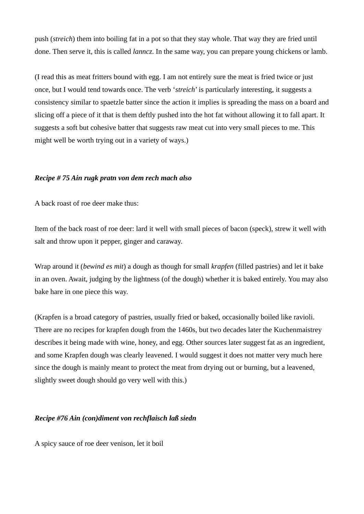push (*streich*) them into boiling fat in a pot so that they stay whole. That way they are fried until done. Then serve it, this is called *lanncz*. In the same way, you can prepare young chickens or lamb.

(I read this as meat fritters bound with egg. I am not entirely sure the meat is fried twice or just once, but I would tend towards once. The verb '*streich*' is particularly interesting, it suggests a consistency similar to spaetzle batter since the action it implies is spreading the mass on a board and slicing off a piece of it that is them deftly pushed into the hot fat without allowing it to fall apart. It suggests a soft but cohesive batter that suggests raw meat cut into very small pieces to me. This might well be worth trying out in a variety of ways.)

# *Recipe # 75 Ain rugk pratn von dem rech mach also*

A back roast of roe deer make thus:

Item of the back roast of roe deer: lard it well with small pieces of bacon (speck), strew it well with salt and throw upon it pepper, ginger and caraway.

Wrap around it (*bewind es mit*) a dough as though for small *krapfen* (filled pastries) and let it bake in an oven. Await, judging by the lightness (of the dough) whether it is baked entirely. You may also bake hare in one piece this way.

(Krapfen is a broad category of pastries, usually fried or baked, occasionally boiled like ravioli. There are no recipes for krapfen dough from the 1460s, but two decades later the Kuchenmaistrey describes it being made with wine, honey, and egg. Other sources later suggest fat as an ingredient, and some Krapfen dough was clearly leavened. I would suggest it does not matter very much here since the dough is mainly meant to protect the meat from drying out or burning, but a leavened, slightly sweet dough should go very well with this.)

# *Recipe #76 Ain (con)diment von rechflaisch laß siedn*

A spicy sauce of roe deer venison, let it boil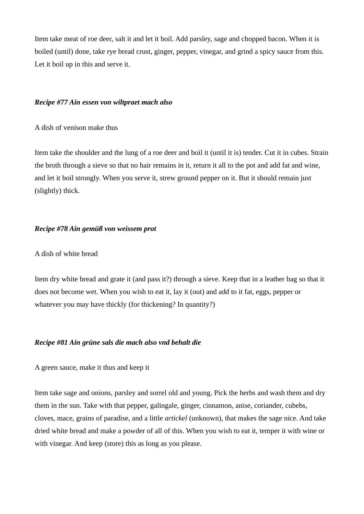Item take meat of roe deer, salt it and let it boil. Add parsley, sage and chopped bacon. When it is boiled (until) done, take rye bread crust, ginger, pepper, vinegar, and grind a spicy sauce from this. Let it boil up in this and serve it.

# *Recipe #77 Ain essen von wiltpraet mach also*

A dish of venison make thus

Item take the shoulder and the lung of a roe deer and boil it (until it is) tender. Cut it in cubes. Strain the broth through a sieve so that no hair remains in it, return it all to the pot and add fat and wine, and let it boil strongly. When you serve it, strew ground pepper on it. But it should remain just (slightly) thick.

# *Recipe #78 Ain gemüß von weissem prot*

# A dish of white bread

Item dry white bread and grate it (and pass it?) through a sieve. Keep that in a leather bag so that it does not become wet. When you wish to eat it, lay it (out) and add to it fat, eggs, pepper or whatever you may have thickly (for thickening? In quantity?)

# *Recipe #81 Ain grüne sals die mach also vnd behalt die*

# A green sauce, make it thus and keep it

Item take sage and onions, parsley and sorrel old and young. Pick the herbs and wash them and dry them in the sun. Take with that pepper, galingale, ginger, cinnamon, anise, coriander, cubebs, cloves, mace, grains of paradise, and a little *artickel* (unknown), that makes the sage nice. And take dried white bread and make a powder of all of this. When you wish to eat it, temper it with wine or with vinegar. And keep (store) this as long as you please.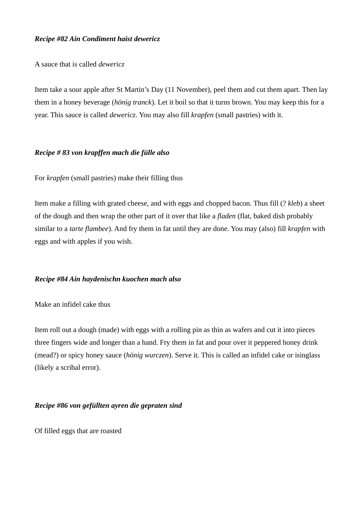# *Recipe #82 Ain Condiment haist dewericz*

A sauce that is called *dewericz*

Item take a sour apple after St Martin's Day (11 November), peel them and cut them apart. Then lay them in a honey beverage (*hönig tranck*). Let it boil so that it turns brown. You may keep this for a year. This sauce is called *dewericz*. You may also fill *krapfen* (small pastries) with it.

# *Recipe # 83 von krapffen mach die fülle also*

For *krapfen* (small pastries) make their filling thus

Item make a filling with grated cheese, and with eggs and chopped bacon. Thus fill (? *kleb*) a sheet of the dough and then wrap the other part of it over that like a *fladen* (flat, baked dish probably similar to a *tarte flambee*). And fry them in fat until they are done. You may (also) fill *krapfen* with eggs and with apples if you wish.

# *Recipe #84 Ain haydenischn kuochen mach also*

Make an infidel cake thus

Item roll out a dough (made) with eggs with a rolling pin as thin as wafers and cut it into pieces three fingers wide and longer than a hand. Fry them in fat and pour over it peppered honey drink (mead?) or spicy honey sauce (*hönig wurczen*). Serve it. This is called an infidel cake or isinglass (likely a scribal error).

# *Recipe #86 von gefüllten ayren die gepraten sind*

Of filled eggs that are roasted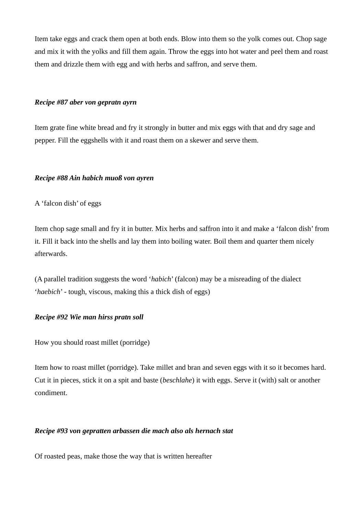Item take eggs and crack them open at both ends. Blow into them so the yolk comes out. Chop sage and mix it with the yolks and fill them again. Throw the eggs into hot water and peel them and roast them and drizzle them with egg and with herbs and saffron, and serve them.

### *Recipe #87 aber von gepratn ayrn*

Item grate fine white bread and fry it strongly in butter and mix eggs with that and dry sage and pepper. Fill the eggshells with it and roast them on a skewer and serve them.

# *Recipe #88 Ain habich muoß von ayren*

A 'falcon dish' of eggs

Item chop sage small and fry it in butter. Mix herbs and saffron into it and make a 'falcon dish' from it. Fill it back into the shells and lay them into boiling water. Boil them and quarter them nicely afterwards.

(A parallel tradition suggests the word '*habich*' (falcon) may be a misreading of the dialect '*haebich*' - tough, viscous, making this a thick dish of eggs)

# *Recipe #92 Wie man hirss pratn soll*

How you should roast millet (porridge)

Item how to roast millet (porridge). Take millet and bran and seven eggs with it so it becomes hard. Cut it in pieces, stick it on a spit and baste (*beschlahe*) it with eggs. Serve it (with) salt or another condiment.

# *Recipe #93 von gepratten arbassen die mach also als hernach stat*

Of roasted peas, make those the way that is written hereafter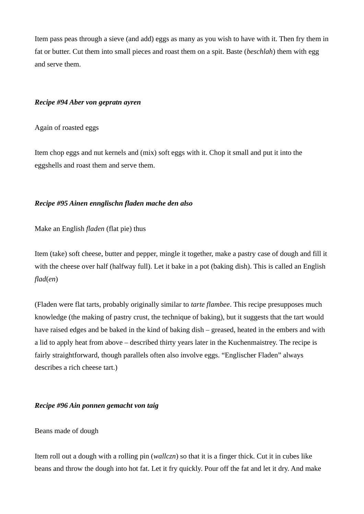Item pass peas through a sieve (and add) eggs as many as you wish to have with it. Then fry them in fat or butter. Cut them into small pieces and roast them on a spit. Baste (*beschlah*) them with egg and serve them.

## *Recipe #94 Aber von gepratn ayren*

Again of roasted eggs

Item chop eggs and nut kernels and (mix) soft eggs with it. Chop it small and put it into the eggshells and roast them and serve them.

# *Recipe #95 Ainen ennglischn fladen mache den also*

Make an English *fladen* (flat pie) thus

Item (take) soft cheese, butter and pepper, mingle it together, make a pastry case of dough and fill it with the cheese over half (halfway full). Let it bake in a pot (baking dish). This is called an English *flad*(*en*)

(Fladen were flat tarts, probably originally similar to *tarte flambee*. This recipe presupposes much knowledge (the making of pastry crust, the technique of baking), but it suggests that the tart would have raised edges and be baked in the kind of baking dish – greased, heated in the embers and with a lid to apply heat from above – described thirty years later in the Kuchenmaistrey. The recipe is fairly straightforward, though parallels often also involve eggs. "Englischer Fladen" always describes a rich cheese tart.)

# *Recipe #96 Ain ponnen gemacht von taig*

# Beans made of dough

Item roll out a dough with a rolling pin (*wallczn*) so that it is a finger thick. Cut it in cubes like beans and throw the dough into hot fat. Let it fry quickly. Pour off the fat and let it dry. And make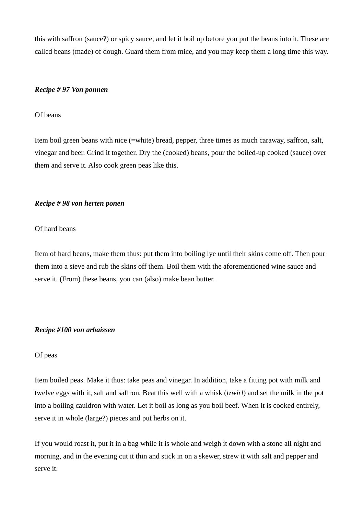this with saffron (sauce?) or spicy sauce, and let it boil up before you put the beans into it. These are called beans (made) of dough. Guard them from mice, and you may keep them a long time this way.

### *Recipe # 97 Von ponnen*

#### Of beans

Item boil green beans with nice (=white) bread, pepper, three times as much caraway, saffron, salt, vinegar and beer. Grind it together. Dry the (cooked) beans, pour the boiled-up cooked (sauce) over them and serve it. Also cook green peas like this.

### *Recipe # 98 von herten ponen*

#### Of hard beans

Item of hard beans, make them thus: put them into boiling lye until their skins come off. Then pour them into a sieve and rub the skins off them. Boil them with the aforementioned wine sauce and serve it. (From) these beans, you can (also) make bean butter.

#### *Recipe #100 von arbaissen*

### Of peas

Item boiled peas. Make it thus: take peas and vinegar. In addition, take a fitting pot with milk and twelve eggs with it, salt and saffron. Beat this well with a whisk (*tzwirl*) and set the milk in the pot into a boiling cauldron with water. Let it boil as long as you boil beef. When it is cooked entirely, serve it in whole (large?) pieces and put herbs on it.

If you would roast it, put it in a bag while it is whole and weigh it down with a stone all night and morning, and in the evening cut it thin and stick in on a skewer, strew it with salt and pepper and serve it.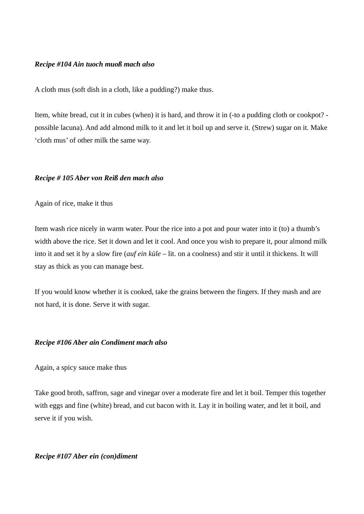## *Recipe #104 Ain tuoch muoß mach also*

A cloth mus (soft dish in a cloth, like a pudding?) make thus.

Item, white bread, cut it in cubes (when) it is hard, and throw it in (-to a pudding cloth or cookpot? possible lacuna). And add almond milk to it and let it boil up and serve it. (Strew) sugar on it. Make 'cloth mus' of other milk the same way.

#### *Recipe # 105 Aber von Reiß den mach also*

Again of rice, make it thus

Item wash rice nicely in warm water. Pour the rice into a pot and pour water into it (to) a thumb's width above the rice. Set it down and let it cool. And once you wish to prepare it, pour almond milk into it and set it by a slow fire (*auf ein küle* – lit. on a coolness) and stir it until it thickens. It will stay as thick as you can manage best.

If you would know whether it is cooked, take the grains between the fingers. If they mash and are not hard, it is done. Serve it with sugar.

#### *Recipe #106 Aber ain Condiment mach also*

Again, a spicy sauce make thus

Take good broth, saffron, sage and vinegar over a moderate fire and let it boil. Temper this together with eggs and fine (white) bread, and cut bacon with it. Lay it in boiling water, and let it boil, and serve it if you wish.

### *Recipe #107 Aber ein (con)diment*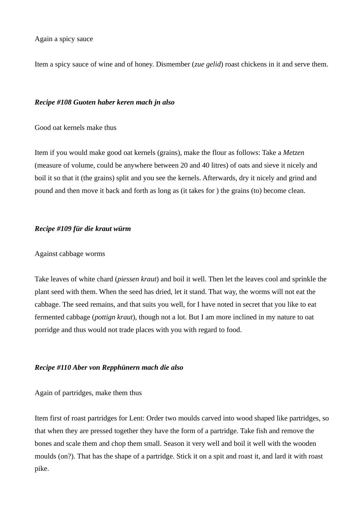Again a spicy sauce

Item a spicy sauce of wine and of honey. Dismember (*zue gelid*) roast chickens in it and serve them.

## *Recipe #108 Guoten haber keren mach jn also*

Good oat kernels make thus

Item if you would make good oat kernels (grains), make the flour as follows: Take a *Metzen* (measure of volume, could be anywhere between 20 and 40 litres) of oats and sieve it nicely and boil it so that it (the grains) split and you see the kernels. Afterwards, dry it nicely and grind and pound and then move it back and forth as long as (it takes for ) the grains (to) become clean.

# *Recipe #109 für die kraut würm*

### Against cabbage worms

Take leaves of white chard (*piessen kraut*) and boil it well. Then let the leaves cool and sprinkle the plant seed with them. When the seed has dried, let it stand. That way, the worms will not eat the cabbage. The seed remains, and that suits you well, for I have noted in secret that you like to eat fermented cabbage (*pottign kraut*), though not a lot. But I am more inclined in my nature to oat porridge and thus would not trade places with you with regard to food.

# *Recipe #110 Aber von Repphünern mach die also*

# Again of partridges, make them thus

Item first of roast partridges for Lent: Order two moulds carved into wood shaped like partridges, so that when they are pressed together they have the form of a partridge. Take fish and remove the bones and scale them and chop them small. Season it very well and boil it well with the wooden moulds (on?). That has the shape of a partridge. Stick it on a spit and roast it, and lard it with roast pike.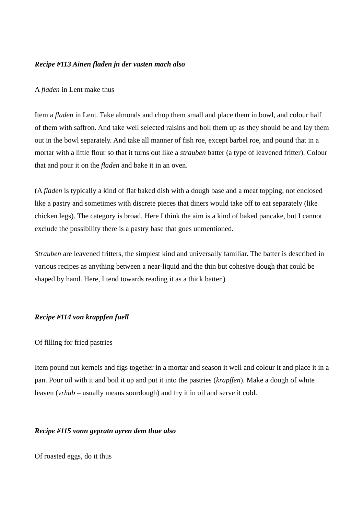# *Recipe #113 Ainen fladen jn der vasten mach also*

## A *fladen* in Lent make thus

Item a *fladen* in Lent. Take almonds and chop them small and place them in bowl, and colour half of them with saffron. And take well selected raisins and boil them up as they should be and lay them out in the bowl separately. And take all manner of fish roe, except barbel roe, and pound that in a mortar with a little flour so that it turns out like a *strauben* batter (a type of leavened fritter). Colour that and pour it on the *fladen* and bake it in an oven.

(A *fladen* is typically a kind of flat baked dish with a dough base and a meat topping, not enclosed like a pastry and sometimes with discrete pieces that diners would take off to eat separately (like chicken legs). The category is broad. Here I think the aim is a kind of baked pancake, but I cannot exclude the possibility there is a pastry base that goes unmentioned.

*Strauben* are leavened fritters, the simplest kind and universally familiar. The batter is described in various recipes as anything between a near-liquid and the thin but cohesive dough that could be shaped by hand. Here, I tend towards reading it as a thick batter.)

# *Recipe #114 von krappfen fuell*

#### Of filling for fried pastries

Item pound nut kernels and figs together in a mortar and season it well and colour it and place it in a pan. Pour oil with it and boil it up and put it into the pastries (*krapffen*). Make a dough of white leaven (*vrhab* – usually means sourdough) and fry it in oil and serve it cold.

### *Recipe #115 vonn gepratn ayren dem thue also*

Of roasted eggs, do it thus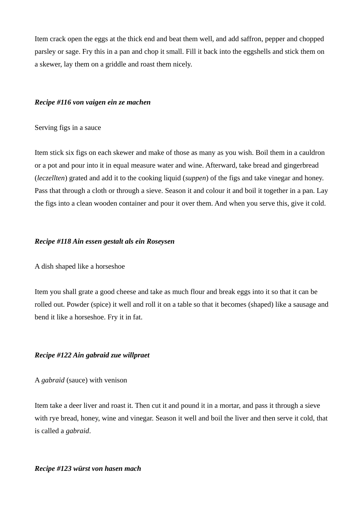Item crack open the eggs at the thick end and beat them well, and add saffron, pepper and chopped parsley or sage. Fry this in a pan and chop it small. Fill it back into the eggshells and stick them on a skewer, lay them on a griddle and roast them nicely.

### *Recipe #116 von vaigen ein ze machen*

## Serving figs in a sauce

Item stick six figs on each skewer and make of those as many as you wish. Boil them in a cauldron or a pot and pour into it in equal measure water and wine. Afterward, take bread and gingerbread (*leczellten*) grated and add it to the cooking liquid (*suppen*) of the figs and take vinegar and honey. Pass that through a cloth or through a sieve. Season it and colour it and boil it together in a pan. Lay the figs into a clean wooden container and pour it over them. And when you serve this, give it cold.

# *Recipe #118 Ain essen gestalt als ein Roseysen*

# A dish shaped like a horseshoe

Item you shall grate a good cheese and take as much flour and break eggs into it so that it can be rolled out. Powder (spice) it well and roll it on a table so that it becomes (shaped) like a sausage and bend it like a horseshoe. Fry it in fat.

#### *Recipe #122 Ain gabraid zue willpraet*

#### A *gabraid* (sauce) with venison

Item take a deer liver and roast it. Then cut it and pound it in a mortar, and pass it through a sieve with rye bread, honey, wine and vinegar. Season it well and boil the liver and then serve it cold, that is called a *gabraid*.

## *Recipe #123 würst von hasen mach*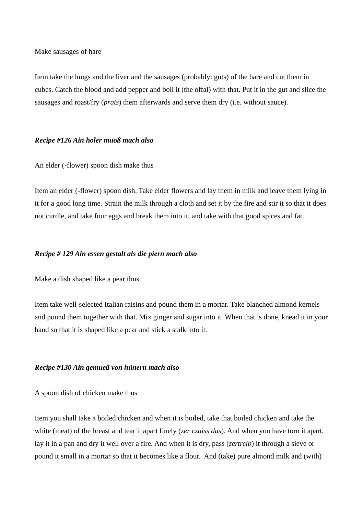Make sausages of hare

Item take the lungs and the liver and the sausages (probably: guts) of the hare and cut them in cubes. Catch the blood and add pepper and boil it (the offal) with that. Put it in the gut and slice the sausages and roast/fry (*prats*) them afterwards and serve them dry (i.e. without sauce).

# *Recipe #126 Ain holer muoß mach also*

## An elder (-flower) spoon dish make thus

Item an elder (-flower) spoon dish. Take elder flowers and lay them in milk and leave them lying in it for a good long time. Strain the milk through a cloth and set it by the fire and stir it so that it does not curdle, and take four eggs and break them into it, and take with that good spices and fat.

### *Recipe # 129 Ain essen gestalt als die piern mach also*

Make a dish shaped like a pear thus

Item take well-selected Italian raisins and pound them in a mortar. Take blanched almond kernels and pound them together with that. Mix ginger and sugar into it. When that is done, knead it in your hand so that it is shaped like a pear and stick a stalk into it.

# *Recipe #130 Ain gemueß von hünern mach also*

A spoon dish of chicken make thus

Item you shall take a boiled chicken and when it is boiled, take that boiled chicken and take the white (meat) of the breast and tear it apart finely (*zer czaiss das*). And when you have torn it apart, lay it in a pan and dry it well over a fire. And when it is dry, pass (*zertreib*) it through a sieve or pound it small in a mortar so that it becomes like a flour. And (take) pure almond milk and (with)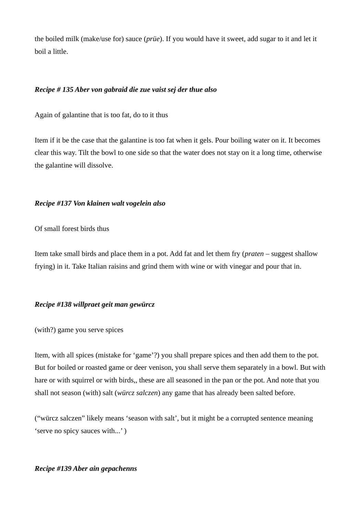the boiled milk (make/use for) sauce (*prüe*). If you would have it sweet, add sugar to it and let it boil a little.

## *Recipe # 135 Aber von gabraid die zue vaist sej der thue also*

Again of galantine that is too fat, do to it thus

Item if it be the case that the galantine is too fat when it gels. Pour boiling water on it. It becomes clear this way. Tilt the bowl to one side so that the water does not stay on it a long time, otherwise the galantine will dissolve.

## *Recipe #137 Von klainen walt vogelein also*

Of small forest birds thus

Item take small birds and place them in a pot. Add fat and let them fry (*praten* – suggest shallow frying) in it. Take Italian raisins and grind them with wine or with vinegar and pour that in.

# *Recipe #138 willpraet geit man gewürcz*

(with?) game you serve spices

Item, with all spices (mistake for 'game'?) you shall prepare spices and then add them to the pot. But for boiled or roasted game or deer venison, you shall serve them separately in a bowl. But with hare or with squirrel or with birds,, these are all seasoned in the pan or the pot. And note that you shall not season (with) salt (*würcz salczen*) any game that has already been salted before.

("würcz salczen" likely means 'season with salt', but it might be a corrupted sentence meaning 'serve no spicy sauces with...' )

#### *Recipe #139 Aber ain gepachenns*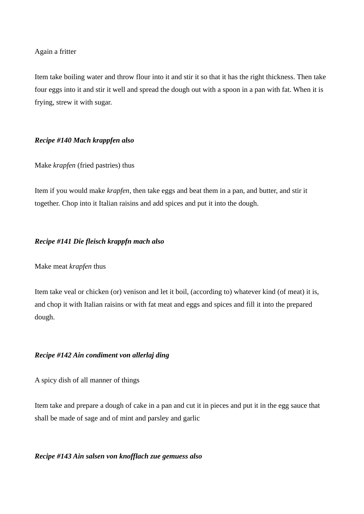## Again a fritter

Item take boiling water and throw flour into it and stir it so that it has the right thickness. Then take four eggs into it and stir it well and spread the dough out with a spoon in a pan with fat. When it is frying, strew it with sugar.

# *Recipe #140 Mach krappfen also*

# Make *krapfen* (fried pastries) thus

Item if you would make *krapfen*, then take eggs and beat them in a pan, and butter, and stir it together. Chop into it Italian raisins and add spices and put it into the dough.

# *Recipe #141 Die fleisch krappfn mach also*

# Make meat *krapfen* thus

Item take veal or chicken (or) venison and let it boil, (according to) whatever kind (of meat) it is, and chop it with Italian raisins or with fat meat and eggs and spices and fill it into the prepared dough.

# *Recipe #142 Ain condiment von allerlaj ding*

A spicy dish of all manner of things

Item take and prepare a dough of cake in a pan and cut it in pieces and put it in the egg sauce that shall be made of sage and of mint and parsley and garlic

# *Recipe #143 Ain salsen von knofflach zue gemuess also*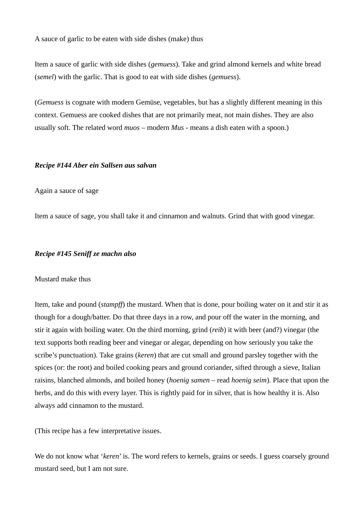A sauce of garlic to be eaten with side dishes (make) thus

Item a sauce of garlic with side dishes (*gemuess*). Take and grind almond kernels and white bread (*semel*) with the garlic. That is good to eat with side dishes (*gemuess*).

(*Gemuess* is cognate with modern Gemüse, vegetables, but has a slightly different meaning in this context. Gemuess are cooked dishes that are not primarily meat, not main dishes. They are also usually soft. The related word *muos* – modern *Mus* - means a dish eaten with a spoon.)

## *Recipe #144 Aber ein Sallsen aus salvan*

## Again a sauce of sage

Item a sauce of sage, you shall take it and cinnamon and walnuts. Grind that with good vinegar.

## *Recipe #145 Seniff ze machn also*

#### Mustard make thus

Item, take and pound (*stampff*) the mustard. When that is done, pour boiling water on it and stir it as though for a dough/batter. Do that three days in a row, and pour off the water in the morning, and stir it again with boiling water. On the third morning, grind (*reib*) it with beer (and?) vinegar (the text supports both reading beer and vinegar or alegar, depending on how seriously you take the scribe's punctuation). Take grains (*keren*) that are cut small and ground parsley together with the spices (or: the root) and boiled cooking pears and ground coriander, sifted through a sieve, Italian raisins, blanched almonds, and boiled honey (*hoenig samen* – read *hoenig seim*). Place that upon the herbs, and do this with every layer. This is rightly paid for in silver, that is how healthy it is. Also always add cinnamon to the mustard.

(This recipe has a few interpretative issues.

We do not know what '*keren*' is. The word refers to kernels, grains or seeds. I guess coarsely ground mustard seed, but I am not sure.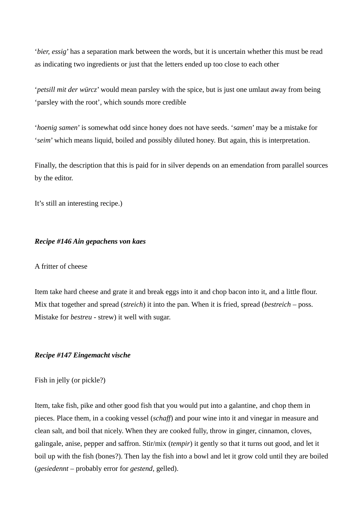'*bier, essig*' has a separation mark between the words, but it is uncertain whether this must be read as indicating two ingredients or just that the letters ended up too close to each other

'*petsill mit der würcz*' would mean parsley with the spice, but is just one umlaut away from being 'parsley with the root', which sounds more credible

'*hoenig samen*' is somewhat odd since honey does not have seeds. '*samen*' may be a mistake for '*seim*' which means liquid, boiled and possibly diluted honey. But again, this is interpretation.

Finally, the description that this is paid for in silver depends on an emendation from parallel sources by the editor.

It's still an interesting recipe.)

## *Recipe #146 Ain gepachens von kaes*

# A fritter of cheese

Item take hard cheese and grate it and break eggs into it and chop bacon into it, and a little flour. Mix that together and spread (*streich*) it into the pan. When it is fried, spread (*bestreich* – poss. Mistake for *bestreu* - strew) it well with sugar.

### *Recipe #147 Eingemacht vische*

Fish in jelly (or pickle?)

Item, take fish, pike and other good fish that you would put into a galantine, and chop them in pieces. Place them, in a cooking vessel (*schaff*) and pour wine into it and vinegar in measure and clean salt, and boil that nicely. When they are cooked fully, throw in ginger, cinnamon, cloves, galingale, anise, pepper and saffron. Stir/mix (*tempir*) it gently so that it turns out good, and let it boil up with the fish (bones?). Then lay the fish into a bowl and let it grow cold until they are boiled (*gesiedennt* – probably error for *gestend*, gelled).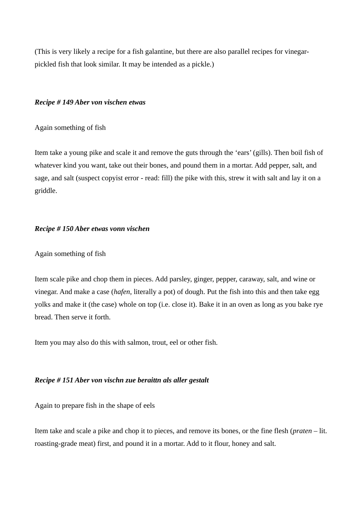(This is very likely a recipe for a fish galantine, but there are also parallel recipes for vinegarpickled fish that look similar. It may be intended as a pickle.)

## *Recipe # 149 Aber von vischen etwas*

Again something of fish

Item take a young pike and scale it and remove the guts through the 'ears' (gills). Then boil fish of whatever kind you want, take out their bones, and pound them in a mortar. Add pepper, salt, and sage, and salt (suspect copyist error - read: fill) the pike with this, strew it with salt and lay it on a griddle.

# *Recipe # 150 Aber etwas vonn vischen*

## Again something of fish

Item scale pike and chop them in pieces. Add parsley, ginger, pepper, caraway, salt, and wine or vinegar. And make a case (*hafen*, literally a pot) of dough. Put the fish into this and then take egg yolks and make it (the case) whole on top (i.e. close it). Bake it in an oven as long as you bake rye bread. Then serve it forth.

Item you may also do this with salmon, trout, eel or other fish.

# *Recipe # 151 Aber von vischn zue beraittn als aller gestalt*

Again to prepare fish in the shape of eels

Item take and scale a pike and chop it to pieces, and remove its bones, or the fine flesh (*praten* – lit. roasting-grade meat) first, and pound it in a mortar. Add to it flour, honey and salt.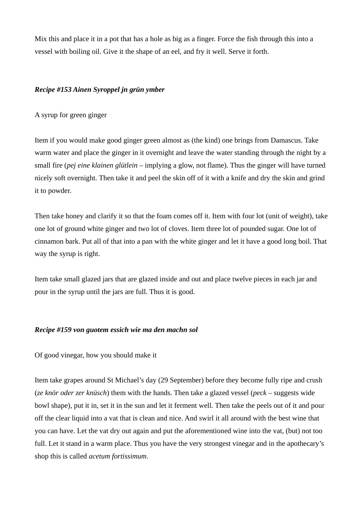Mix this and place it in a pot that has a hole as big as a finger. Force the fish through this into a vessel with boiling oil. Give it the shape of an eel, and fry it well. Serve it forth.

# *Recipe #153 Ainen Syroppel jn grün ymber*

A syrup for green ginger

Item if you would make good ginger green almost as (the kind) one brings from Damascus. Take warm water and place the ginger in it overnight and leave the water standing through the night by a small fire (*pej eine klainen glütlein* – implying a glow, not flame). Thus the ginger will have turned nicely soft overnight. Then take it and peel the skin off of it with a knife and dry the skin and grind it to powder.

Then take honey and clarify it so that the foam comes off it. Item with four lot (unit of weight), take one lot of ground white ginger and two lot of cloves. Item three lot of pounded sugar. One lot of cinnamon bark. Put all of that into a pan with the white ginger and let it have a good long boil. That way the syrup is right.

Item take small glazed jars that are glazed inside and out and place twelve pieces in each jar and pour in the syrup until the jars are full. Thus it is good.

# *Recipe #159 von guotem essich wie ma den machn sol*

Of good vinegar, how you should make it

Item take grapes around St Michael's day (29 September) before they become fully ripe and crush (*ze knör oder zer knüsch*) them with the hands. Then take a glazed vessel (*peck* – suggests wide bowl shape), put it in, set it in the sun and let it ferment well. Then take the peels out of it and pour off the clear liquid into a vat that is clean and nice. And swirl it all around with the best wine that you can have. Let the vat dry out again and put the aforementioned wine into the vat, (but) not too full. Let it stand in a warm place. Thus you have the very strongest vinegar and in the apothecary's shop this is called *acetum fortissimum*.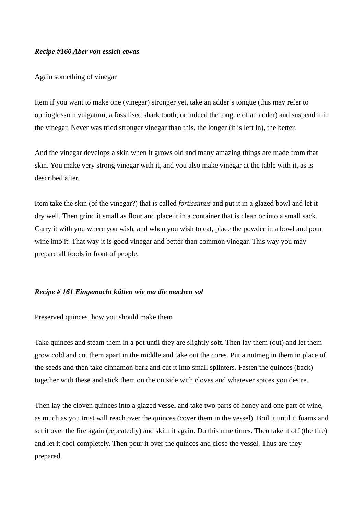## *Recipe #160 Aber von essich etwas*

### Again something of vinegar

Item if you want to make one (vinegar) stronger yet, take an adder's tongue (this may refer to ophioglossum vulgatum, a fossilised shark tooth, or indeed the tongue of an adder) and suspend it in the vinegar. Never was tried stronger vinegar than this, the longer (it is left in), the better.

And the vinegar develops a skin when it grows old and many amazing things are made from that skin. You make very strong vinegar with it, and you also make vinegar at the table with it, as is described after.

Item take the skin (of the vinegar?) that is called *fortissimus* and put it in a glazed bowl and let it dry well. Then grind it small as flour and place it in a container that is clean or into a small sack. Carry it with you where you wish, and when you wish to eat, place the powder in a bowl and pour wine into it. That way it is good vinegar and better than common vinegar. This way you may prepare all foods in front of people.

# *Recipe # 161 Eingemacht kütten wie ma die machen sol*

Preserved quinces, how you should make them

Take quinces and steam them in a pot until they are slightly soft. Then lay them (out) and let them grow cold and cut them apart in the middle and take out the cores. Put a nutmeg in them in place of the seeds and then take cinnamon bark and cut it into small splinters. Fasten the quinces (back) together with these and stick them on the outside with cloves and whatever spices you desire.

Then lay the cloven quinces into a glazed vessel and take two parts of honey and one part of wine, as much as you trust will reach over the quinces (cover them in the vessel). Boil it until it foams and set it over the fire again (repeatedly) and skim it again. Do this nine times. Then take it off (the fire) and let it cool completely. Then pour it over the quinces and close the vessel. Thus are they prepared.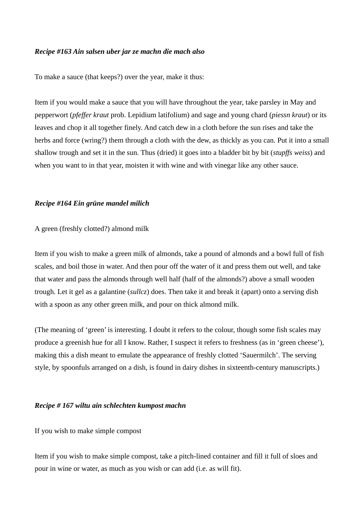## *Recipe #163 Ain salsen uber jar ze machn die mach also*

To make a sauce (that keeps?) over the year, make it thus:

Item if you would make a sauce that you will have throughout the year, take parsley in May and pepperwort (*pfeffer kraut* prob. Lepidium latifolium) and sage and young chard (*piessn kraut*) or its leaves and chop it all together finely. And catch dew in a cloth before the sun rises and take the herbs and force (wring?) them through a cloth with the dew, as thickly as you can. Put it into a small shallow trough and set it in the sun. Thus (dried) it goes into a bladder bit by bit (*stupffs weiss*) and when you want to in that year, moisten it with wine and with vinegar like any other sauce.

#### *Recipe #164 Ein grüne mandel milich*

A green (freshly clotted?) almond milk

Item if you wish to make a green milk of almonds, take a pound of almonds and a bowl full of fish scales, and boil those in water. And then pour off the water of it and press them out well, and take that water and pass the almonds through well half (half of the almonds?) above a small wooden trough. Let it gel as a galantine (*sullcz*) does. Then take it and break it (apart) onto a serving dish with a spoon as any other green milk, and pour on thick almond milk.

(The meaning of 'green' is interesting. I doubt it refers to the colour, though some fish scales may produce a greenish hue for all I know. Rather, I suspect it refers to freshness (as in 'green cheese'), making this a dish meant to emulate the appearance of freshly clotted 'Sauermilch'. The serving style, by spoonfuls arranged on a dish, is found in dairy dishes in sixteenth-century manuscripts.)

# *Recipe # 167 wiltu ain schlechten kumpost machn*

If you wish to make simple compost

Item if you wish to make simple compost, take a pitch-lined container and fill it full of sloes and pour in wine or water, as much as you wish or can add (i.e. as will fit).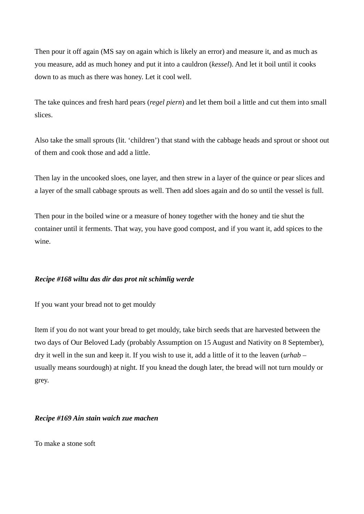Then pour it off again (MS say on again which is likely an error) and measure it, and as much as you measure, add as much honey and put it into a cauldron (*kessel*). And let it boil until it cooks down to as much as there was honey. Let it cool well.

The take quinces and fresh hard pears (*regel piern*) and let them boil a little and cut them into small slices.

Also take the small sprouts (lit. 'children') that stand with the cabbage heads and sprout or shoot out of them and cook those and add a little.

Then lay in the uncooked sloes, one layer, and then strew in a layer of the quince or pear slices and a layer of the small cabbage sprouts as well. Then add sloes again and do so until the vessel is full.

Then pour in the boiled wine or a measure of honey together with the honey and tie shut the container until it ferments. That way, you have good compost, and if you want it, add spices to the wine.

# *Recipe #168 wiltu das dir das prot nit schimlig werde*

If you want your bread not to get mouldy

Item if you do not want your bread to get mouldy, take birch seeds that are harvested between the two days of Our Beloved Lady (probably Assumption on 15 August and Nativity on 8 September), dry it well in the sun and keep it. If you wish to use it, add a little of it to the leaven (*urhab* – usually means sourdough) at night. If you knead the dough later, the bread will not turn mouldy or grey.

# *Recipe #169 Ain stain waich zue machen*

To make a stone soft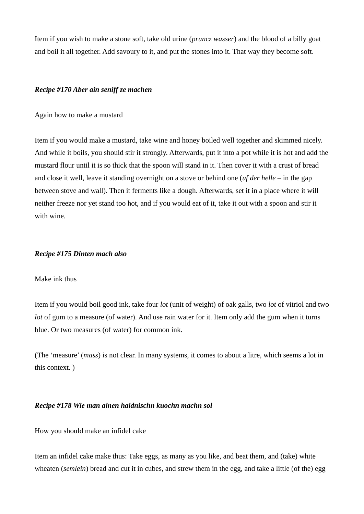Item if you wish to make a stone soft, take old urine (*pruncz wasser*) and the blood of a billy goat and boil it all together. Add savoury to it, and put the stones into it. That way they become soft.

# *Recipe #170 Aber ain seniff ze machen*

Again how to make a mustard

Item if you would make a mustard, take wine and honey boiled well together and skimmed nicely. And while it boils, you should stir it strongly. Afterwards, put it into a pot while it is hot and add the mustard flour until it is so thick that the spoon will stand in it. Then cover it with a crust of bread and close it well, leave it standing overnight on a stove or behind one (*uf der helle* – in the gap between stove and wall). Then it ferments like a dough. Afterwards, set it in a place where it will neither freeze nor yet stand too hot, and if you would eat of it, take it out with a spoon and stir it with wine.

# *Recipe #175 Dinten mach also*

# Make ink thus

Item if you would boil good ink, take four *lot* (unit of weight) of oak galls, two *lot* of vitriol and two *lot* of gum to a measure (of water). And use rain water for it. Item only add the gum when it turns blue. Or two measures (of water) for common ink.

(The 'measure' (*mass*) is not clear. In many systems, it comes to about a litre, which seems a lot in this context. )

# *Recipe #178 Wie man ainen haidnischn kuochn machn sol*

How you should make an infidel cake

Item an infidel cake make thus: Take eggs, as many as you like, and beat them, and (take) white wheaten (*semlein*) bread and cut it in cubes, and strew them in the egg, and take a little (of the) egg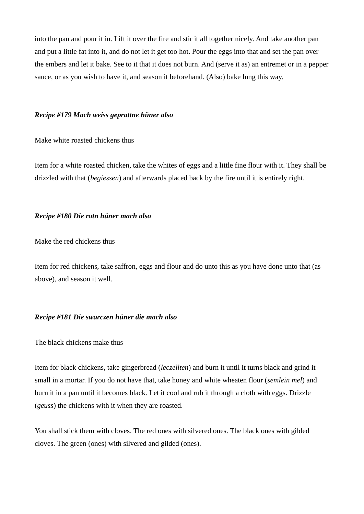into the pan and pour it in. Lift it over the fire and stir it all together nicely. And take another pan and put a little fat into it, and do not let it get too hot. Pour the eggs into that and set the pan over the embers and let it bake. See to it that it does not burn. And (serve it as) an entremet or in a pepper sauce, or as you wish to have it, and season it beforehand. (Also) bake lung this way.

#### *Recipe #179 Mach weiss geprattne hüner also*

Make white roasted chickens thus

Item for a white roasted chicken, take the whites of eggs and a little fine flour with it. They shall be drizzled with that (*begiessen*) and afterwards placed back by the fire until it is entirely right.

#### *Recipe #180 Die rotn hüner mach also*

Make the red chickens thus

Item for red chickens, take saffron, eggs and flour and do unto this as you have done unto that (as above), and season it well.

# *Recipe #181 Die swarczen hüner die mach also*

### The black chickens make thus

Item for black chickens, take gingerbread (*leczellten*) and burn it until it turns black and grind it small in a mortar. If you do not have that, take honey and white wheaten flour (*semlein mel*) and burn it in a pan until it becomes black. Let it cool and rub it through a cloth with eggs. Drizzle (*geuss*) the chickens with it when they are roasted.

You shall stick them with cloves. The red ones with silvered ones. The black ones with gilded cloves. The green (ones) with silvered and gilded (ones).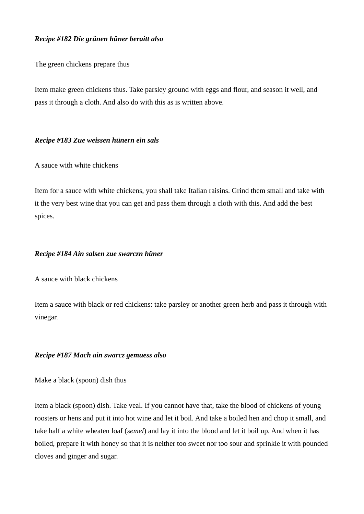# *Recipe #182 Die grünen hüner beraitt also*

The green chickens prepare thus

Item make green chickens thus. Take parsley ground with eggs and flour, and season it well, and pass it through a cloth. And also do with this as is written above.

# *Recipe #183 Zue weissen hünern ein sals*

A sauce with white chickens

Item for a sauce with white chickens, you shall take Italian raisins. Grind them small and take with it the very best wine that you can get and pass them through a cloth with this. And add the best spices.

# *Recipe #184 Ain salsen zue swarczn hüner*

A sauce with black chickens

Item a sauce with black or red chickens: take parsley or another green herb and pass it through with vinegar.

# *Recipe #187 Mach ain swarcz gemuess also*

Make a black (spoon) dish thus

Item a black (spoon) dish. Take veal. If you cannot have that, take the blood of chickens of young roosters or hens and put it into hot wine and let it boil. And take a boiled hen and chop it small, and take half a white wheaten loaf (*semel*) and lay it into the blood and let it boil up. And when it has boiled, prepare it with honey so that it is neither too sweet nor too sour and sprinkle it with pounded cloves and ginger and sugar.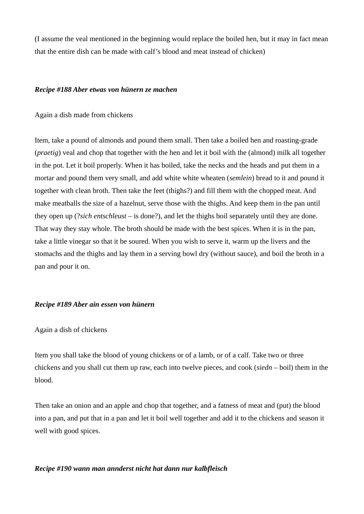(I assume the veal mentioned in the beginning would replace the boiled hen, but it may in fact mean that the entire dish can be made with calf's blood and meat instead of chicken)

#### *Recipe #188 Aber etwas von hünern ze machen*

Again a dish made from chickens

Item, take a pound of almonds and pound them small. Then take a boiled hen and roasting-grade (*praetig*) veal and chop that together with the hen and let it boil with the (almond) milk all together in the pot. Let it boil properly. When it has boiled, take the necks and the heads and put them in a mortar and pound them very small, and add white white wheaten (*semlein*) bread to it and pound it together with clean broth. Then take the feet (thighs?) and fill them with the chopped meat. And make meatballs the size of a hazelnut, serve those with the thighs. And keep them in the pan until they open up (?*sich entschleust* – is done?), and let the thighs boil separately until they are done. That way they stay whole. The broth should be made with the best spices. When it is in the pan, take a little vinegar so that it be soured. When you wish to serve it, warm up the livers and the stomachs and the thighs and lay them in a serving bowl dry (without sauce), and boil the broth in a pan and pour it on.

#### *Recipe #189 Aber ain essen von hünern*

Again a dish of chickens

Item you shall take the blood of young chickens or of a lamb, or of a calf. Take two or three chickens and you shall cut them up raw, each into twelve pieces, and cook (*siedn* – boil) them in the blood.

Then take an onion and an apple and chop that together, and a fatness of meat and (put) the blood into a pan, and put that in a pan and let it boil well together and add it to the chickens and season it well with good spices.

# *Recipe #190 wann man annderst nicht hat dann nur kalbfleisch*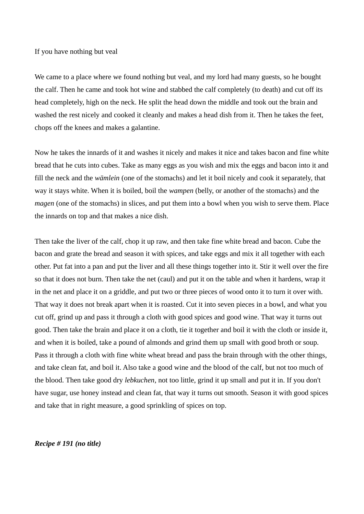### If you have nothing but veal

We came to a place where we found nothing but veal, and my lord had many guests, so he bought the calf. Then he came and took hot wine and stabbed the calf completely (to death) and cut off its head completely, high on the neck. He split the head down the middle and took out the brain and washed the rest nicely and cooked it cleanly and makes a head dish from it. Then he takes the feet, chops off the knees and makes a galantine.

Now he takes the innards of it and washes it nicely and makes it nice and takes bacon and fine white bread that he cuts into cubes. Take as many eggs as you wish and mix the eggs and bacon into it and fill the neck and the *wämlein* (one of the stomachs) and let it boil nicely and cook it separately, that way it stays white. When it is boiled, boil the *wampen* (belly, or another of the stomachs) and the *magen* (one of the stomachs) in slices, and put them into a bowl when you wish to serve them. Place the innards on top and that makes a nice dish.

Then take the liver of the calf, chop it up raw, and then take fine white bread and bacon. Cube the bacon and grate the bread and season it with spices, and take eggs and mix it all together with each other. Put fat into a pan and put the liver and all these things together into it. Stir it well over the fire so that it does not burn. Then take the net (caul) and put it on the table and when it hardens, wrap it in the net and place it on a griddle, and put two or three pieces of wood onto it to turn it over with. That way it does not break apart when it is roasted. Cut it into seven pieces in a bowl, and what you cut off, grind up and pass it through a cloth with good spices and good wine. That way it turns out good. Then take the brain and place it on a cloth, tie it together and boil it with the cloth or inside it, and when it is boiled, take a pound of almonds and grind them up small with good broth or soup. Pass it through a cloth with fine white wheat bread and pass the brain through with the other things, and take clean fat, and boil it. Also take a good wine and the blood of the calf, but not too much of the blood. Then take good dry *lebkuchen*, not too little, grind it up small and put it in. If you don't have sugar, use honey instead and clean fat, that way it turns out smooth. Season it with good spices and take that in right measure, a good sprinkling of spices on top.

## *Recipe # 191 (no title)*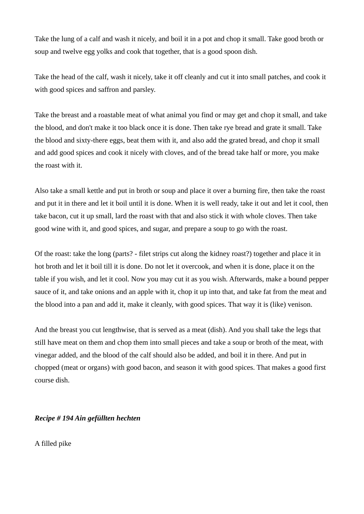Take the lung of a calf and wash it nicely, and boil it in a pot and chop it small. Take good broth or soup and twelve egg yolks and cook that together, that is a good spoon dish.

Take the head of the calf, wash it nicely, take it off cleanly and cut it into small patches, and cook it with good spices and saffron and parsley.

Take the breast and a roastable meat of what animal you find or may get and chop it small, and take the blood, and don't make it too black once it is done. Then take rye bread and grate it small. Take the blood and sixty-there eggs, beat them with it, and also add the grated bread, and chop it small and add good spices and cook it nicely with cloves, and of the bread take half or more, you make the roast with it.

Also take a small kettle and put in broth or soup and place it over a burning fire, then take the roast and put it in there and let it boil until it is done. When it is well ready, take it out and let it cool, then take bacon, cut it up small, lard the roast with that and also stick it with whole cloves. Then take good wine with it, and good spices, and sugar, and prepare a soup to go with the roast.

Of the roast: take the long (parts? - filet strips cut along the kidney roast?) together and place it in hot broth and let it boil till it is done. Do not let it overcook, and when it is done, place it on the table if you wish, and let it cool. Now you may cut it as you wish. Afterwards, make a bound pepper sauce of it, and take onions and an apple with it, chop it up into that, and take fat from the meat and the blood into a pan and add it, make it cleanly, with good spices. That way it is (like) venison.

And the breast you cut lengthwise, that is served as a meat (dish). And you shall take the legs that still have meat on them and chop them into small pieces and take a soup or broth of the meat, with vinegar added, and the blood of the calf should also be added, and boil it in there. And put in chopped (meat or organs) with good bacon, and season it with good spices. That makes a good first course dish.

# *Recipe # 194 Ain gefüllten hechten*

A filled pike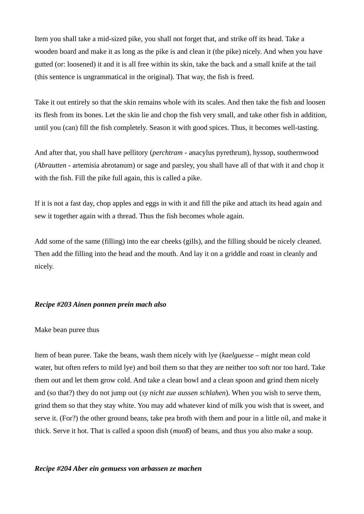Item you shall take a mid-sized pike, you shall not forget that, and strike off its head. Take a wooden board and make it as long as the pike is and clean it (the pike) nicely. And when you have gutted (or: loosened) it and it is all free within its skin, take the back and a small knife at the tail (this sentence is ungrammatical in the original). That way, the fish is freed.

Take it out entirely so that the skin remains whole with its scales. And then take the fish and loosen its flesh from its bones. Let the skin lie and chop the fish very small, and take other fish in addition, until you (can) fill the fish completely. Season it with good spices. Thus, it becomes well-tasting.

And after that, you shall have pellitory (*perchtram* - anacylus pyrethrum), hyssop, southernwood (*Abrautten* - artemisia abrotanum) or sage and parsley, you shall have all of that with it and chop it with the fish. Fill the pike full again, this is called a pike.

If it is not a fast day, chop apples and eggs in with it and fill the pike and attach its head again and sew it together again with a thread. Thus the fish becomes whole again.

Add some of the same (filling) into the ear cheeks (gills), and the filling should be nicely cleaned. Then add the filling into the head and the mouth. And lay it on a griddle and roast in cleanly and nicely.

# *Recipe #203 Ainen ponnen prein mach also*

# Make bean puree thus

Item of bean puree. Take the beans, wash them nicely with lye (*kaelguesse* – might mean cold water, but often refers to mild lye) and boil them so that they are neither too soft nor too hard. Take them out and let them grow cold. And take a clean bowl and a clean spoon and grind them nicely and (so that?) they do not jump out (*sy nicht zue aussen schlahen*). When you wish to serve them, grind them so that they stay white. You may add whatever kind of milk you wish that is sweet, and serve it. (For?) the other ground beans, take pea broth with them and pour in a little oil, and make it thick. Serve it hot. That is called a spoon dish (*muoß*) of beans, and thus you also make a soup.

#### *Recipe #204 Aber ein gemuess von arbassen ze machen*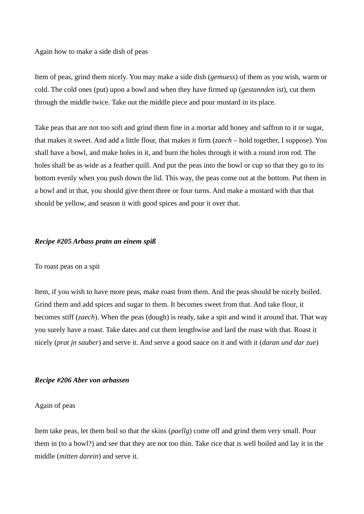## Again how to make a side dish of peas

Item of peas, grind them nicely. You may make a side dish (*gemuess*) of them as you wish, warm or cold. The cold ones (put) upon a bowl and when they have firmed up (*gestannden ist*), cut them through the middle twice. Take out the middle piece and pour mustard in its place.

Take peas that are not too soft and grind them fine in a mortar add honey and saffron to it or sugar, that makes it sweet. And add a little flour, that makes it firm (*zaech* – hold together, I suppose). You shall have a bowl, and make holes in it, and burn the holes through it with a round iron rod. The holes shall be as wide as a feather quill. And put the peas into the bowl or cup so that they go to its bottom evenly when you push down the lid. This way, the peas come out at the bottom. Put them in a bowl and in that, you should give them three or four turns. And make a mustard with that that should be yellow, and season it with good spices and pour it over that.

## *Recipe #205 Arbass pratn an einem spiß*

# To roast peas on a spit

Item, if you wish to have more peas, make roast from them. And the peas should be nicely boiled. Grind them and add spices and sugar to them. It becomes sweet from that. And take flour, it becomes stiff (*zaech*). When the peas (dough) is ready, take a spit and wind it around that. That way you surely have a roast. Take dates and cut them lengthwise and lard the roast with that. Roast it nicely (*prat jn sauber*) and serve it. And serve a good sauce on it and with it (*daran und dar zue*)

#### *Recipe #206 Aber von arbassen*

## Again of peas

Item take peas, let them boil so that the skins (*paellg*) come off and grind them very small. Pour them in (to a bowl?) and see that they are not too thin. Take rice that is well boiled and lay it in the middle (*mitten darein*) and serve it.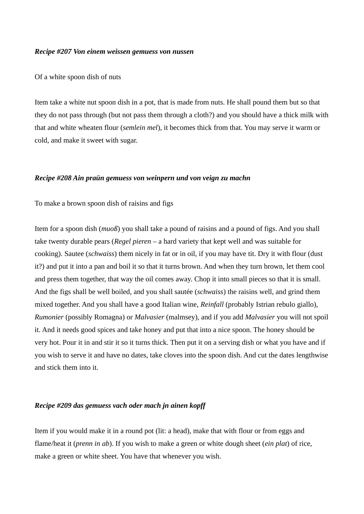## *Recipe #207 Von einem weissen gemuess von nussen*

Of a white spoon dish of nuts

Item take a white nut spoon dish in a pot, that is made from nuts. He shall pound them but so that they do not pass through (but not pass them through a cloth?) and you should have a thick milk with that and white wheaten flour (*semlein mel*), it becomes thick from that. You may serve it warm or cold, and make it sweet with sugar.

### *Recipe #208 Ain praün gemuess von weinpern und von veign zu machn*

To make a brown spoon dish of raisins and figs

Item for a spoon dish (*muoß*) you shall take a pound of raisins and a pound of figs. And you shall take twenty durable pears (*Regel pieren* – a hard variety that kept well and was suitable for cooking). Sautee (*schwaiss*) them nicely in fat or in oil, if you may have tit. Dry it with flour (dust it?) and put it into a pan and boil it so that it turns brown. And when they turn brown, let them cool and press them together, that way the oil comes away. Chop it into small pieces so that it is small. And the figs shall be well boiled, and you shall sautée (*schwaiss*) the raisins well, and grind them mixed together. And you shall have a good Italian wine, *Reinfall* (probably Istrian rebulo giallo), *Rumonier* (possibly Romagna) or *Malvasier* (malmsey), and if you add *Malvasier* you will not spoil it. And it needs good spices and take honey and put that into a nice spoon. The honey should be very hot. Pour it in and stir it so it turns thick. Then put it on a serving dish or what you have and if you wish to serve it and have no dates, take cloves into the spoon dish. And cut the dates lengthwise and stick them into it.

#### *Recipe #209 das gemuess vach oder mach jn ainen kopff*

Item if you would make it in a round pot (lit: a head), make that with flour or from eggs and flame/heat it (*prenn in ab*). If you wish to make a green or white dough sheet (*ein plat*) of rice, make a green or white sheet. You have that whenever you wish.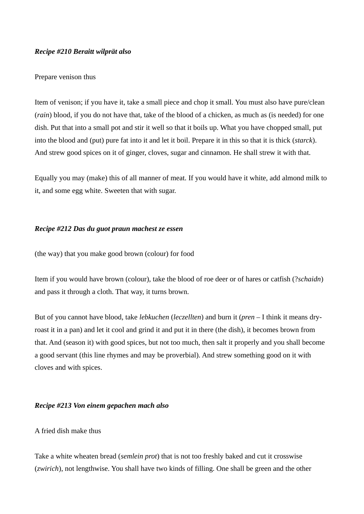# *Recipe #210 Beraitt wilprät also*

# Prepare venison thus

Item of venison; if you have it, take a small piece and chop it small. You must also have pure/clean (*rain*) blood, if you do not have that, take of the blood of a chicken, as much as (is needed) for one dish. Put that into a small pot and stir it well so that it boils up. What you have chopped small, put into the blood and (put) pure fat into it and let it boil. Prepare it in this so that it is thick (*starck*). And strew good spices on it of ginger, cloves, sugar and cinnamon. He shall strew it with that.

Equally you may (make) this of all manner of meat. If you would have it white, add almond milk to it, and some egg white. Sweeten that with sugar.

# *Recipe #212 Das du guot praun machest ze essen*

(the way) that you make good brown (colour) for food

Item if you would have brown (colour), take the blood of roe deer or of hares or catfish (?*schaidn*) and pass it through a cloth. That way, it turns brown.

But of you cannot have blood, take *lebkuchen* (*leczellten*) and burn it (*pren* – I think it means dryroast it in a pan) and let it cool and grind it and put it in there (the dish), it becomes brown from that. And (season it) with good spices, but not too much, then salt it properly and you shall become a good servant (this line rhymes and may be proverbial). And strew something good on it with cloves and with spices.

# *Recipe #213 Von einem gepachen mach also*

# A fried dish make thus

Take a white wheaten bread (*semlein prot*) that is not too freshly baked and cut it crosswise (*zwirich*), not lengthwise. You shall have two kinds of filling. One shall be green and the other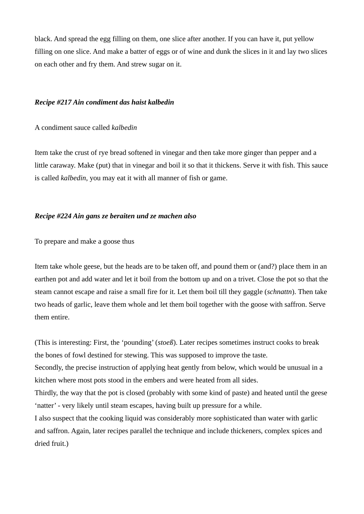black. And spread the egg filling on them, one slice after another. If you can have it, put yellow filling on one slice. And make a batter of eggs or of wine and dunk the slices in it and lay two slices on each other and fry them. And strew sugar on it.

# *Recipe #217 Ain condiment das haist kalbedin*

A condiment sauce called *kalbedin*

Item take the crust of rye bread softened in vinegar and then take more ginger than pepper and a little caraway. Make (put) that in vinegar and boil it so that it thickens. Serve it with fish. This sauce is called *kalbedin*, you may eat it with all manner of fish or game.

# *Recipe #224 Ain gans ze beraiten und ze machen also*

To prepare and make a goose thus

Item take whole geese, but the heads are to be taken off, and pound them or (and?) place them in an earthen pot and add water and let it boil from the bottom up and on a trivet. Close the pot so that the steam cannot escape and raise a small fire for it. Let them boil till they gaggle (*schnattn*). Then take two heads of garlic, leave them whole and let them boil together with the goose with saffron. Serve them entire.

(This is interesting: First, the 'pounding' (*stoeß*). Later recipes sometimes instruct cooks to break the bones of fowl destined for stewing. This was supposed to improve the taste. Secondly, the precise instruction of applying heat gently from below, which would be unusual in a kitchen where most pots stood in the embers and were heated from all sides. Thirdly, the way that the pot is closed (probably with some kind of paste) and heated until the geese 'natter' - very likely until steam escapes, having built up pressure for a while. I also suspect that the cooking liquid was considerably more sophisticated than water with garlic and saffron. Again, later recipes parallel the technique and include thickeners, complex spices and dried fruit.)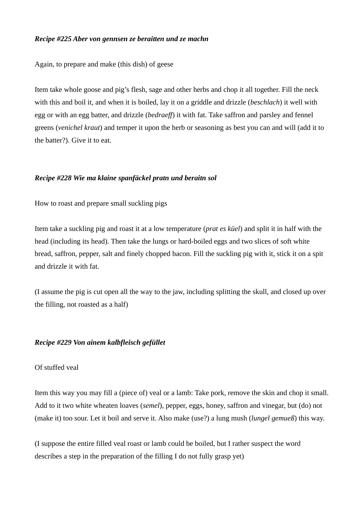# *Recipe #225 Aber von gennsen ze beraitten und ze machn*

Again, to prepare and make (this dish) of geese

Item take whole goose and pig's flesh, sage and other herbs and chop it all together. Fill the neck with this and boil it, and when it is boiled, lay it on a griddle and drizzle (*beschlach*) it well with egg or with an egg batter, and drizzle (*bedraeff*) it with fat. Take saffron and parsley and fennel greens (*venichel kraut*) and temper it upon the herb or seasoning as best you can and will (add it to the batter?). Give it to eat.

# *Recipe #228 Wie ma klaine spanfäckel pratn und beraitn sol*

How to roast and prepare small suckling pigs

Item take a suckling pig and roast it at a low temperature (*prat es küel*) and split it in half with the head (including its head). Then take the lungs or hard-boiled eggs and two slices of soft white bread, saffron, pepper, salt and finely chopped bacon. Fill the suckling pig with it, stick it on a spit and drizzle it with fat.

(I assume the pig is cut open all the way to the jaw, including splitting the skull, and closed up over the filling, not roasted as a half)

## *Recipe #229 Von ainem kalbfleisch gefüllet*

# Of stuffed veal

Item this way you may fill a (piece of) veal or a lamb: Take pork, remove the skin and chop it small. Add to it two white wheaten loaves (*semel*), pepper, eggs, honey, saffron and vinegar, but (do) not (make it) too sour. Let it boil and serve it. Also make (use?) a lung mush (*lungel gemueß*) this way.

(I suppose the entire filled veal roast or lamb could be boiled, but I rather suspect the word describes a step in the preparation of the filling I do not fully grasp yet)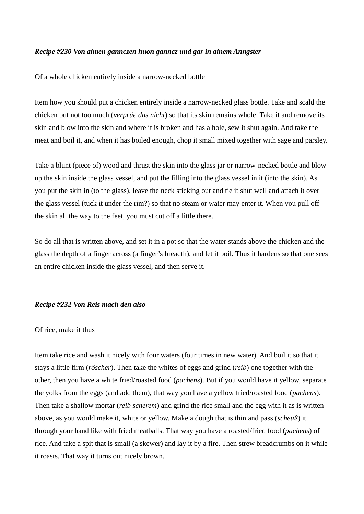## *Recipe #230 Von aimen gannczen huon ganncz und gar in ainem Anngster*

Of a whole chicken entirely inside a narrow-necked bottle

Item how you should put a chicken entirely inside a narrow-necked glass bottle. Take and scald the chicken but not too much (*verprüe das nicht*) so that its skin remains whole. Take it and remove its skin and blow into the skin and where it is broken and has a hole, sew it shut again. And take the meat and boil it, and when it has boiled enough, chop it small mixed together with sage and parsley.

Take a blunt (piece of) wood and thrust the skin into the glass jar or narrow-necked bottle and blow up the skin inside the glass vessel, and put the filling into the glass vessel in it (into the skin). As you put the skin in (to the glass), leave the neck sticking out and tie it shut well and attach it over the glass vessel (tuck it under the rim?) so that no steam or water may enter it. When you pull off the skin all the way to the feet, you must cut off a little there.

So do all that is written above, and set it in a pot so that the water stands above the chicken and the glass the depth of a finger across (a finger's breadth), and let it boil. Thus it hardens so that one sees an entire chicken inside the glass vessel, and then serve it.

## *Recipe #232 Von Reis mach den also*

#### Of rice, make it thus

Item take rice and wash it nicely with four waters (four times in new water). And boil it so that it stays a little firm (*röscher*). Then take the whites of eggs and grind (*reib*) one together with the other, then you have a white fried/roasted food (*pachens*). But if you would have it yellow, separate the yolks from the eggs (and add them), that way you have a yellow fried/roasted food (*pachens*). Then take a shallow mortar (*reib scherem*) and grind the rice small and the egg with it as is written above, as you would make it, white or yellow. Make a dough that is thin and pass (*scheuß*) it through your hand like with fried meatballs. That way you have a roasted/fried food (*pachens*) of rice. And take a spit that is small (a skewer) and lay it by a fire. Then strew breadcrumbs on it while it roasts. That way it turns out nicely brown.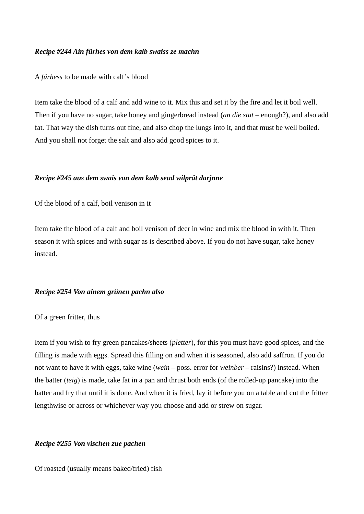# *Recipe #244 Ain fürhes von dem kalb swaiss ze machn*

A *fürhess* to be made with calf's blood

Item take the blood of a calf and add wine to it. Mix this and set it by the fire and let it boil well. Then if you have no sugar, take honey and gingerbread instead (*an die stat* – enough?), and also add fat. That way the dish turns out fine, and also chop the lungs into it, and that must be well boiled. And you shall not forget the salt and also add good spices to it.

## *Recipe #245 aus dem swais von dem kalb seud wilprät darjnne*

Of the blood of a calf, boil venison in it

Item take the blood of a calf and boil venison of deer in wine and mix the blood in with it. Then season it with spices and with sugar as is described above. If you do not have sugar, take honey instead.

## *Recipe #254 Von ainem grünen pachn also*

Of a green fritter, thus

Item if you wish to fry green pancakes/sheets (*pletter*), for this you must have good spices, and the filling is made with eggs. Spread this filling on and when it is seasoned, also add saffron. If you do not want to have it with eggs, take wine (*wein* – poss. error for *weinber* – raisins?) instead. When the batter (*teig*) is made, take fat in a pan and thrust both ends (of the rolled-up pancake) into the batter and fry that until it is done. And when it is fried, lay it before you on a table and cut the fritter lengthwise or across or whichever way you choose and add or strew on sugar.

### *Recipe #255 Von vischen zue pachen*

Of roasted (usually means baked/fried) fish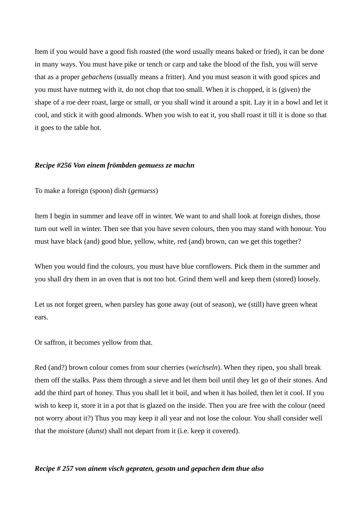Item if you would have a good fish roasted (the word usually means baked or fried), it can be done in many ways. You must have pike or tench or carp and take the blood of the fish, you will serve that as a proper *gebachens* (usually means a fritter). And you must season it with good spices and you must have nutmeg with it, do not chop that too small. When it is chopped, it is (given) the shape of a roe deer roast, large or small, or you shall wind it around a spit. Lay it in a bowl and let it cool, and stick it with good almonds. When you wish to eat it, you shall roast it till it is done so that it goes to the table hot.

#### *Recipe #256 Von einem frömbden gemuess ze machn*

To make a foreign (spoon) dish (*gemuess*)

Item I begin in summer and leave off in winter. We want to and shall look at foreign dishes, those turn out well in winter. Then see that you have seven colours, then you may stand with honour. You must have black (and) good blue, yellow, white, red (and) brown, can we get this together?

When you would find the colours, you must have blue cornflowers. Pick them in the summer and you shall dry them in an oven that is not too hot. Grind them well and keep them (stored) loosely.

Let us not forget green, when parsley has gone away (out of season), we (still) have green wheat ears.

Or saffron, it becomes yellow from that.

Red (and?) brown colour comes from sour cherries (*weichseln*). When they ripen, you shall break them off the stalks. Pass them through a sieve and let them boil until they let go of their stones. And add the third part of honey. Thus you shall let it boil, and when it has boiled, then let it cool. If you wish to keep it, store it in a pot that is glazed on the inside. Then you are free with the colour (need not worry about it?) Thus you may keep it all year and not lose the colour. You shall consider well that the moisture (*dunst*) shall not depart from it (i.e. keep it covered).

# *Recipe # 257 von ainem visch gepraten, gesotn und gepachen dem thue also*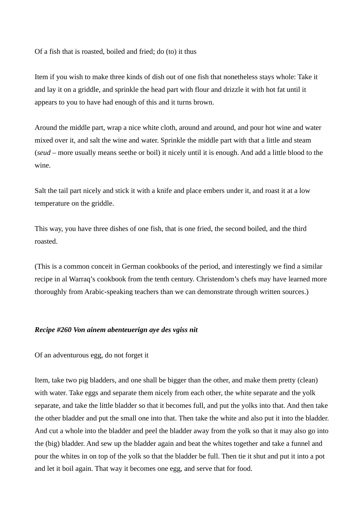Of a fish that is roasted, boiled and fried; do (to) it thus

Item if you wish to make three kinds of dish out of one fish that nonetheless stays whole: Take it and lay it on a griddle, and sprinkle the head part with flour and drizzle it with hot fat until it appears to you to have had enough of this and it turns brown.

Around the middle part, wrap a nice white cloth, around and around, and pour hot wine and water mixed over it, and salt the wine and water. Sprinkle the middle part with that a little and steam (*seud* – more usually means seethe or boil) it nicely until it is enough. And add a little blood to the wine.

Salt the tail part nicely and stick it with a knife and place embers under it, and roast it at a low temperature on the griddle.

This way, you have three dishes of one fish, that is one fried, the second boiled, and the third roasted.

(This is a common conceit in German cookbooks of the period, and interestingly we find a similar recipe in al Warraq's cookbook from the tenth century. Christendom's chefs may have learned more thoroughly from Arabic-speaking teachers than we can demonstrate through written sources.)

# *Recipe #260 Von ainem abenteuerign aye des vgiss nit*

Of an adventurous egg, do not forget it

Item, take two pig bladders, and one shall be bigger than the other, and make them pretty (clean) with water. Take eggs and separate them nicely from each other, the white separate and the yolk separate, and take the little bladder so that it becomes full, and put the yolks into that. And then take the other bladder and put the small one into that. Then take the white and also put it into the bladder. And cut a whole into the bladder and peel the bladder away from the yolk so that it may also go into the (big) bladder. And sew up the bladder again and beat the whites together and take a funnel and pour the whites in on top of the yolk so that the bladder be full. Then tie it shut and put it into a pot and let it boil again. That way it becomes one egg, and serve that for food.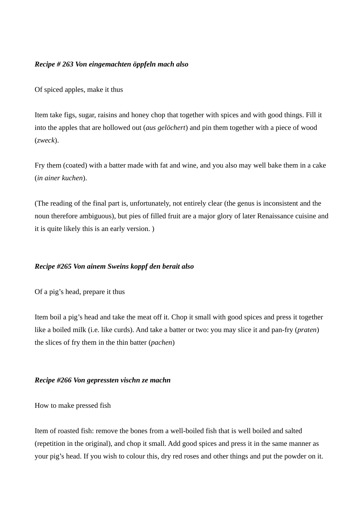# *Recipe # 263 Von eingemachten öppfeln mach also*

Of spiced apples, make it thus

Item take figs, sugar, raisins and honey chop that together with spices and with good things. Fill it into the apples that are hollowed out (*aus gelöchert*) and pin them together with a piece of wood (*zweck*).

Fry them (coated) with a batter made with fat and wine, and you also may well bake them in a cake (*in ainer kuchen*).

(The reading of the final part is, unfortunately, not entirely clear (the genus is inconsistent and the noun therefore ambiguous), but pies of filled fruit are a major glory of later Renaissance cuisine and it is quite likely this is an early version. )

# *Recipe #265 Von ainem Sweins koppf den berait also*

Of a pig's head, prepare it thus

Item boil a pig's head and take the meat off it. Chop it small with good spices and press it together like a boiled milk (i.e. like curds). And take a batter or two: you may slice it and pan-fry (*praten*) the slices of fry them in the thin batter (*pachen*)

## *Recipe #266 Von gepressten vischn ze machn*

How to make pressed fish

Item of roasted fish: remove the bones from a well-boiled fish that is well boiled and salted (repetition in the original), and chop it small. Add good spices and press it in the same manner as your pig's head. If you wish to colour this, dry red roses and other things and put the powder on it.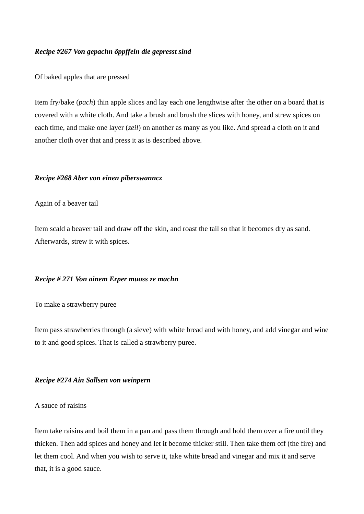# *Recipe #267 Von gepachn öppffeln die gepresst sind*

Of baked apples that are pressed

Item fry/bake (*pach*) thin apple slices and lay each one lengthwise after the other on a board that is covered with a white cloth. And take a brush and brush the slices with honey, and strew spices on each time, and make one layer (*zeil*) on another as many as you like. And spread a cloth on it and another cloth over that and press it as is described above.

# *Recipe #268 Aber von einen piberswanncz*

## Again of a beaver tail

Item scald a beaver tail and draw off the skin, and roast the tail so that it becomes dry as sand. Afterwards, strew it with spices.

## *Recipe # 271 Von ainem Erper muoss ze machn*

To make a strawberry puree

Item pass strawberries through (a sieve) with white bread and with honey, and add vinegar and wine to it and good spices. That is called a strawberry puree.

# *Recipe #274 Ain Sallsen von weinpern*

# A sauce of raisins

Item take raisins and boil them in a pan and pass them through and hold them over a fire until they thicken. Then add spices and honey and let it become thicker still. Then take them off (the fire) and let them cool. And when you wish to serve it, take white bread and vinegar and mix it and serve that, it is a good sauce.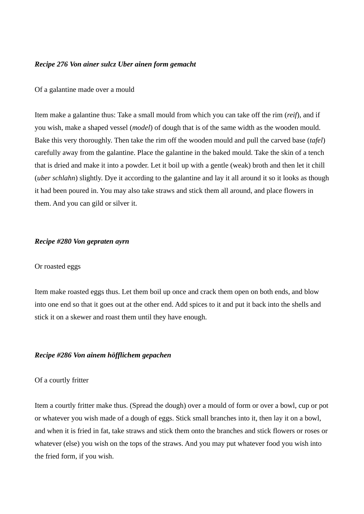### *Recipe 276 Von ainer sulcz Uber ainen form gemacht*

#### Of a galantine made over a mould

Item make a galantine thus: Take a small mould from which you can take off the rim (*reif*), and if you wish, make a shaped vessel (*model*) of dough that is of the same width as the wooden mould. Bake this very thoroughly. Then take the rim off the wooden mould and pull the carved base (*tafel*) carefully away from the galantine. Place the galantine in the baked mould. Take the skin of a tench that is dried and make it into a powder. Let it boil up with a gentle (weak) broth and then let it chill (*uber schlahn*) slightly. Dye it according to the galantine and lay it all around it so it looks as though it had been poured in. You may also take straws and stick them all around, and place flowers in them. And you can gild or silver it.

### *Recipe #280 Von gepraten ayrn*

### Or roasted eggs

Item make roasted eggs thus. Let them boil up once and crack them open on both ends, and blow into one end so that it goes out at the other end. Add spices to it and put it back into the shells and stick it on a skewer and roast them until they have enough.

### *Recipe #286 Von ainem höfflichem gepachen*

#### Of a courtly fritter

Item a courtly fritter make thus. (Spread the dough) over a mould of form or over a bowl, cup or pot or whatever you wish made of a dough of eggs. Stick small branches into it, then lay it on a bowl, and when it is fried in fat, take straws and stick them onto the branches and stick flowers or roses or whatever (else) you wish on the tops of the straws. And you may put whatever food you wish into the fried form, if you wish.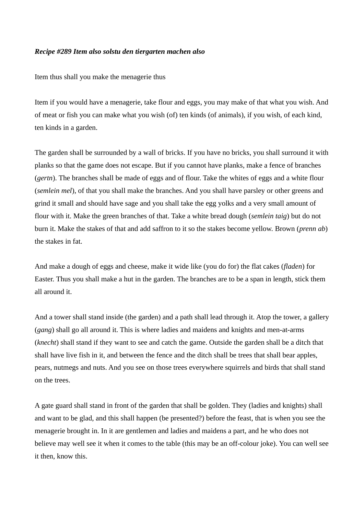## *Recipe #289 Item also solstu den tiergarten machen also*

Item thus shall you make the menagerie thus

Item if you would have a menagerie, take flour and eggs, you may make of that what you wish. And of meat or fish you can make what you wish (of) ten kinds (of animals), if you wish, of each kind, ten kinds in a garden.

The garden shall be surrounded by a wall of bricks. If you have no bricks, you shall surround it with planks so that the game does not escape. But if you cannot have planks, make a fence of branches (*gertn*). The branches shall be made of eggs and of flour. Take the whites of eggs and a white flour (*semlein mel*), of that you shall make the branches. And you shall have parsley or other greens and grind it small and should have sage and you shall take the egg yolks and a very small amount of flour with it. Make the green branches of that. Take a white bread dough (*semlein taig*) but do not burn it. Make the stakes of that and add saffron to it so the stakes become yellow. Brown (*prenn ab*) the stakes in fat.

And make a dough of eggs and cheese, make it wide like (you do for) the flat cakes (*fladen*) for Easter. Thus you shall make a hut in the garden. The branches are to be a span in length, stick them all around it.

And a tower shall stand inside (the garden) and a path shall lead through it. Atop the tower, a gallery (*gang*) shall go all around it. This is where ladies and maidens and knights and men-at-arms (*knecht*) shall stand if they want to see and catch the game. Outside the garden shall be a ditch that shall have live fish in it, and between the fence and the ditch shall be trees that shall bear apples, pears, nutmegs and nuts. And you see on those trees everywhere squirrels and birds that shall stand on the trees.

A gate guard shall stand in front of the garden that shall be golden. They (ladies and knights) shall and want to be glad, and this shall happen (be presented?) before the feast, that is when you see the menagerie brought in. In it are gentlemen and ladies and maidens a part, and he who does not believe may well see it when it comes to the table (this may be an off-colour joke). You can well see it then, know this.